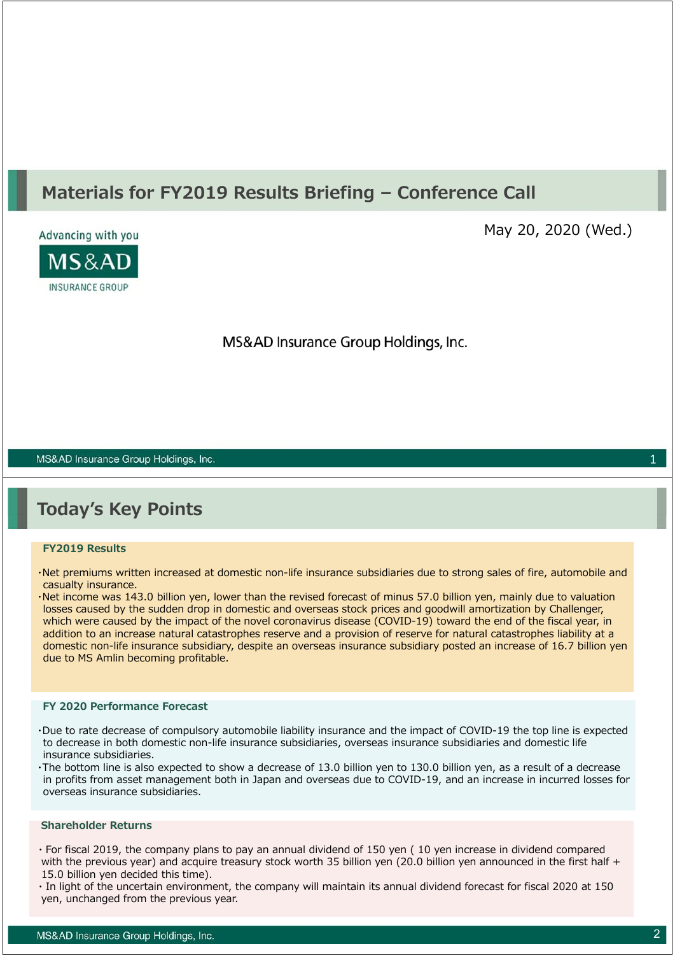# **Materials for FY2019 Results Briefing – Conference Call**



May 20, 2020 (Wed.)

MS&AD Insurance Group Holdings, Inc.

MS&AD Insurance Group Holdings, Inc.

# **Today's Key Points**

#### **FY2019 Results**

- ・Net premiums written increased at domestic non-life insurance subsidiaries due to strong sales of fire, automobile and casualty insurance.
- ・Net income was 143.0 billion yen, lower than the revised forecast of minus 57.0 billion yen, mainly due to valuation losses caused by the sudden drop in domestic and overseas stock prices and goodwill amortization by Challenger, which were caused by the impact of the novel coronavirus disease (COVID-19) toward the end of the fiscal year, in addition to an increase natural catastrophes reserve and a provision of reserve for natural catastrophes liability at a domestic non-life insurance subsidiary, despite an overseas insurance subsidiary posted an increase of 16.7 billion yen due to MS Amlin becoming profitable.

#### **FY 2020 Performance Forecast**

- ・Due to rate decrease of compulsory automobile liability insurance and the impact of COVID-19 the top line is expected to decrease in both domestic non-life insurance subsidiaries, overseas insurance subsidiaries and domestic life insurance subsidiaries.
- ・The bottom line is also expected to show a decrease of 13.0 billion yen to 130.0 billion yen, as a result of a decrease in profits from asset management both in Japan and overseas due to COVID-19, and an increase in incurred losses for overseas insurance subsidiaries.

#### **Shareholder Returns**

・For fiscal 2019, the company plans to pay an annual dividend of 150 yen ( 10 yen increase in dividend compared with the previous year) and acquire treasury stock worth 35 billion yen (20.0 billion yen announced in the first half + 15.0 billion yen decided this time).

・In light of the uncertain environment, the company will maintain its annual dividend forecast for fiscal 2020 at 150 yen, unchanged from the previous year.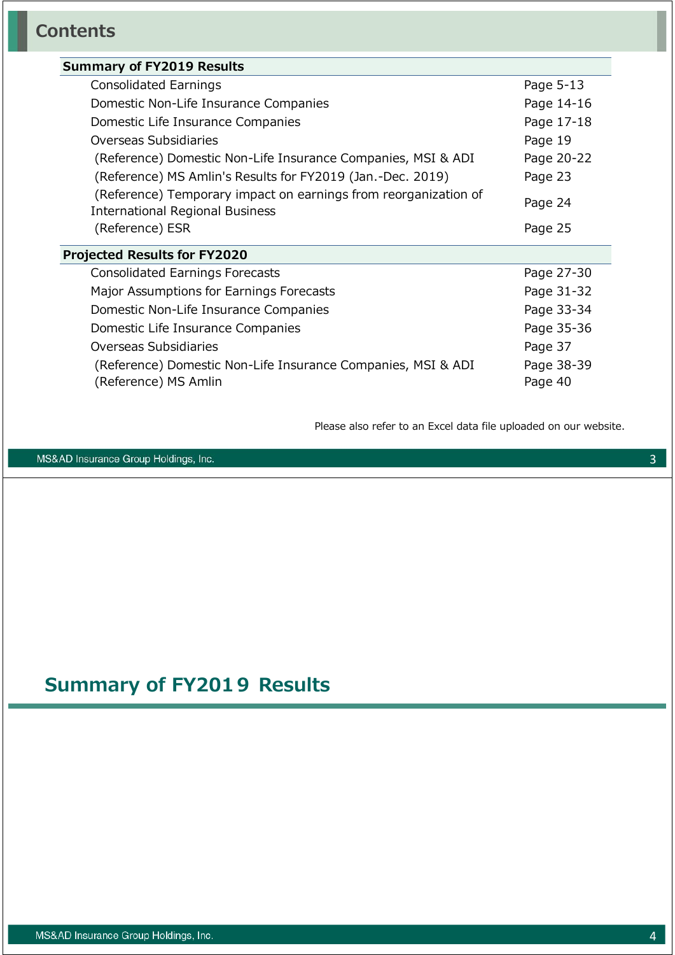# **Contents**

| <b>Summary of FY2019 Results</b>                                                                          |            |
|-----------------------------------------------------------------------------------------------------------|------------|
| <b>Consolidated Earnings</b>                                                                              | Page 5-13  |
| Domestic Non-Life Insurance Companies                                                                     | Page 14-16 |
| Domestic Life Insurance Companies                                                                         | Page 17-18 |
| Overseas Subsidiaries                                                                                     | Page 19    |
| (Reference) Domestic Non-Life Insurance Companies, MSI & ADI                                              | Page 20-22 |
| (Reference) MS Amlin's Results for FY2019 (Jan.-Dec. 2019)                                                | Page 23    |
| (Reference) Temporary impact on earnings from reorganization of<br><b>International Regional Business</b> | Page 24    |
| (Reference) ESR                                                                                           | Page 25    |
| <b>Projected Results for FY2020</b>                                                                       |            |
| Consolidated Earnings Forecasts                                                                           | Page 27-30 |
| Major Assumptions for Earnings Forecasts                                                                  | Page 31-32 |
| Domestic Non-Life Insurance Companies                                                                     | Page 33-34 |
| Domestic Life Insurance Companies                                                                         | Page 35-36 |
| Overseas Subsidiaries                                                                                     | Page 37    |
| (Reference) Domestic Non-Life Insurance Companies, MSI & ADI                                              | Page 38-39 |
| (Reference) MS Amlin                                                                                      | Page 40    |

Please also refer to an Excel data file uploaded on our website.

MS&AD Insurance Group Holdings, Inc.

# **Summary of FY2019 Results**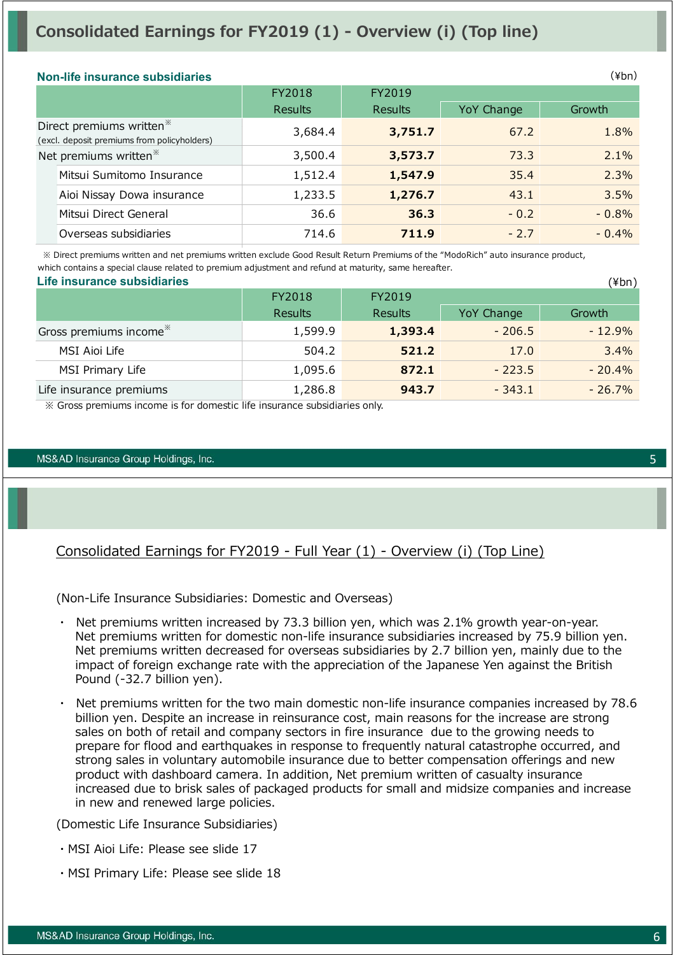# **Consolidated Earnings for FY2019 (1) - Overview (i) (Top line)**

#### **Non-life insurance subsidiaries**

| <u>TYPIT IIIV IIIVULUIVU OUDOIUIUI IVO</u>                                          |                |                |            |         |  |  |
|-------------------------------------------------------------------------------------|----------------|----------------|------------|---------|--|--|
|                                                                                     | FY2018         | FY2019         |            |         |  |  |
|                                                                                     | <b>Results</b> | <b>Results</b> | YoY Change | Growth  |  |  |
| Direct premiums written <sup>*</sup><br>(excl. deposit premiums from policyholders) | 3,684.4        | 3,751.7        | 67.2       | 1.8%    |  |  |
| Net premiums written <sup>*</sup>                                                   | 3,500.4        | 3,573.7        | 73.3       | 2.1%    |  |  |
| Mitsui Sumitomo Insurance                                                           | 1,512.4        | 1,547.9        | 35.4       | 2.3%    |  |  |
| Aioi Nissay Dowa insurance                                                          | 1,233.5        | 1,276.7        | 43.1       | 3.5%    |  |  |
| Mitsui Direct General                                                               | 36.6           | 36.3           | $-0.2$     | $-0.8%$ |  |  |
| Overseas subsidiaries                                                               | 714.6          | 711.9          | $-2.7$     | $-0.4%$ |  |  |
|                                                                                     |                |                |            |         |  |  |

 ※ Direct premiums written and net premiums written exclude Good Result Return Premiums of the "ModoRich" auto insurance product, which contains a special clause related to premium adjustment and refund at maturity, same hereafter.

| Life insurance subsidiaries        |                |                |            | (¥bn)     |
|------------------------------------|----------------|----------------|------------|-----------|
|                                    | FY2018         | FY2019         |            |           |
|                                    | <b>Results</b> | <b>Results</b> | YoY Change | Growth    |
| Gross premiums income <sup>*</sup> | 1,599.9        | 1,393.4        | $-206.5$   | $-12.9%$  |
| MSI Aioi Life                      | 504.2          | 521.2          | 17.0       | 3.4%      |
| MSI Primary Life                   | 1,095.6        | 872.1          | $-223.5$   | $-20.4%$  |
| Life insurance premiums            | 1,286.8        | 943.7          | $-343.1$   | $-26.7\%$ |

※ Gross premiums income is for domestic life insurance subsidiaries only.

#### MS&AD Insurance Group Holdings, Inc.

### Consolidated Earnings for FY2019 - Full Year (1) - Overview (i) (Top Line)

(Non-Life Insurance Subsidiaries: Domestic and Overseas)

- Net premiums written increased by 73.3 billion yen, which was 2.1% growth year-on-year. Net premiums written for domestic non-life insurance subsidiaries increased by 75.9 billion yen. Net premiums written decreased for overseas subsidiaries by 2.7 billion yen, mainly due to the impact of foreign exchange rate with the appreciation of the Japanese Yen against the British Pound (-32.7 billion yen).
- Net premiums written for the two main domestic non-life insurance companies increased by 78.6 billion yen. Despite an increase in reinsurance cost, main reasons for the increase are strong sales on both of retail and company sectors in fire insurance due to the growing needs to prepare for flood and earthquakes in response to frequently natural catastrophe occurred, and strong sales in voluntary automobile insurance due to better compensation offerings and new product with dashboard camera. In addition, Net premium written of casualty insurance increased due to brisk sales of packaged products for small and midsize companies and increase in new and renewed large policies.

(Domestic Life Insurance Subsidiaries)

- ・MSI Aioi Life: Please see slide 17
- ・MSI Primary Life: Please see slide 18

 $(\frac{4}{\pi})$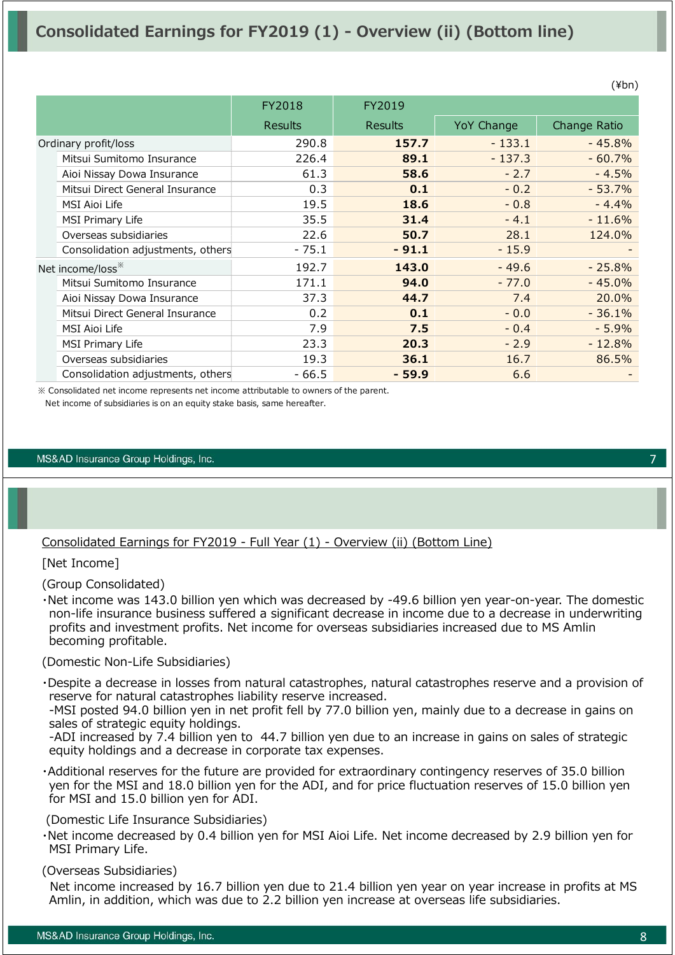# **Consolidated Earnings for FY2019 (1) - Overview (ii) (Bottom line)**

|                                   | FY2018         | FY2019         |            |              |
|-----------------------------------|----------------|----------------|------------|--------------|
|                                   | <b>Results</b> | <b>Results</b> | YoY Change | Change Ratio |
| Ordinary profit/loss              | 290.8          | 157.7          | $-133.1$   | $-45.8%$     |
| Mitsui Sumitomo Insurance         | 226.4          | 89.1           | $-137.3$   | $-60.7%$     |
| Aioi Nissay Dowa Insurance        | 61.3           | 58.6           | $-2.7$     | $-4.5%$      |
| Mitsui Direct General Insurance   | 0.3            | 0.1            | $-0.2$     | $-53.7%$     |
| MSI Aioi Life                     | 19.5           | 18.6           | $-0.8$     | $-4.4%$      |
| <b>MSI Primary Life</b>           | 35.5           | 31.4           | $-4.1$     | $-11.6%$     |
| Overseas subsidiaries             | 22.6           | 50.7           | 28.1       | 124.0%       |
| Consolidation adjustments, others | $-75.1$        | $-91.1$        | $-15.9$    |              |
| Net income/loss <sup>**</sup>     | 192.7          | 143.0          | $-49.6$    | $-25.8%$     |
| Mitsui Sumitomo Insurance         | 171.1          | 94.0           | $-77.0$    | $-45.0%$     |
| Aioi Nissay Dowa Insurance        | 37.3           | 44.7           | 7.4        | 20.0%        |
| Mitsui Direct General Insurance   | 0.2            | 0.1            | $-0.0$     | $-36.1%$     |
| MSI Aioi Life                     | 7.9            | 7.5            | $-0.4$     | $-5.9%$      |
| <b>MSI Primary Life</b>           | 23.3           | 20.3           | $-2.9$     | $-12.8%$     |
| Overseas subsidiaries             | 19.3           | 36.1           | 16.7       | 86.5%        |
| Consolidation adjustments, others | $-66.5$        | $-59.9$        | 6.6        |              |

※ Consolidated net income represents net income attributable to owners of the parent.

Net income of subsidiaries is on an equity stake basis, same hereafter.

#### MS&AD Insurance Group Holdings, Inc.

### Consolidated Earnings for FY2019 - Full Year (1) - Overview (ii) (Bottom Line)

[Net Income]

(Group Consolidated)

・Net income was 143.0 billion yen which was decreased by -49.6 billion yen year-on-year. The domestic non-life insurance business suffered a significant decrease in income due to a decrease in underwriting profits and investment profits. Net income for overseas subsidiaries increased due to MS Amlin becoming profitable.

#### (Domestic Non-Life Subsidiaries)

・Despite a decrease in losses from natural catastrophes, natural catastrophes reserve and a provision of reserve for natural catastrophes liability reserve increased.

-MSI posted 94.0 billion yen in net profit fell by 77.0 billion yen, mainly due to a decrease in gains on sales of strategic equity holdings.

-ADI increased by 7.4 billion yen to 44.7 billion yen due to an increase in gains on sales of strategic equity holdings and a decrease in corporate tax expenses.

・Additional reserves for the future are provided for extraordinary contingency reserves of 35.0 billion yen for the MSI and 18.0 billion yen for the ADI, and for price fluctuation reserves of 15.0 billion yen for MSI and 15.0 billion yen for ADI.

(Domestic Life Insurance Subsidiaries)

・Net income decreased by 0.4 billion yen for MSI Aioi Life. Net income decreased by 2.9 billion yen for MSI Primary Life.

(Overseas Subsidiaries)

Net income increased by 16.7 billion yen due to 21.4 billion yen year on year increase in profits at MS Amlin, in addition, which was due to 2.2 billion yen increase at overseas life subsidiaries.

(¥bn)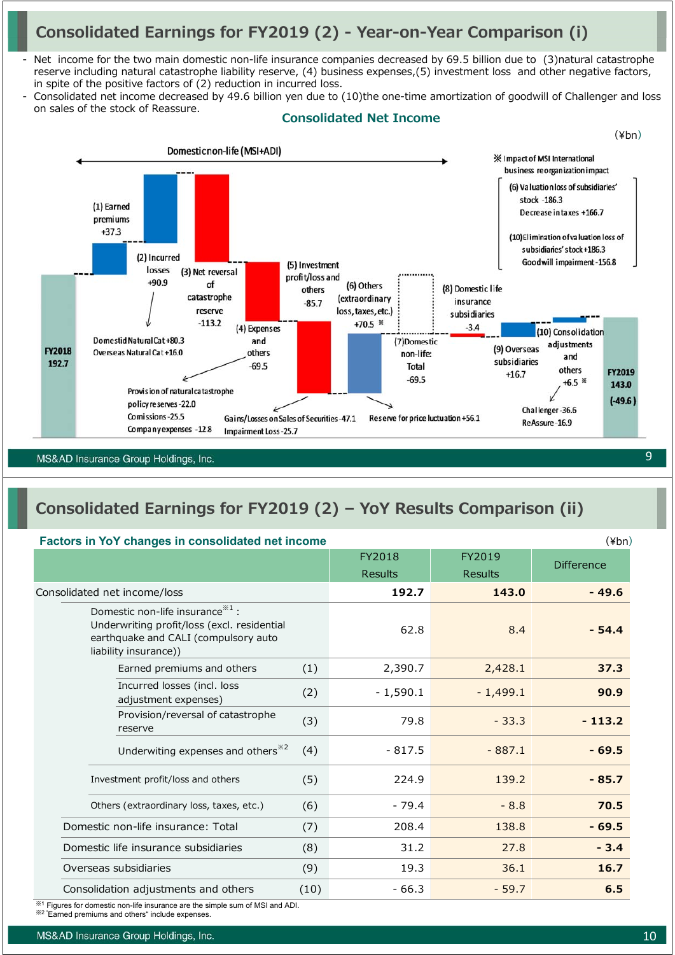# **Consolidated Earnings for FY2019 (2) - Year-on-Year Comparison (i)**

- Net income for the two main domestic non-life insurance companies decreased by 69.5 billion due to (3)natural catastrophe reserve including natural catastrophe liability reserve, (4) business expenses,(5) investment loss and other negative factors, in spite of the positive factors of (2) reduction in incurred loss.
- Consolidated net income decreased by 49.6 billion yen due to (10)the one-time amortization of goodwill of Challenger and loss on sales of the stock of Reassure.





# **Consolidated Earnings for FY2019 (2) – YoY Results Comparison (ii)**

#### **Factors in YoY changes in consolidated net income**

| Factors in YoY changes in consolidated net income<br>$(\frac{\gamma}{\pi})$                                                                                 |      |                          |                          |                   |  |  |  |
|-------------------------------------------------------------------------------------------------------------------------------------------------------------|------|--------------------------|--------------------------|-------------------|--|--|--|
|                                                                                                                                                             |      | FY2018<br><b>Results</b> | FY2019<br><b>Results</b> | <b>Difference</b> |  |  |  |
| Consolidated net income/loss                                                                                                                                |      | 192.7                    | 143.0                    | $-49.6$           |  |  |  |
| Domestic non-life insurance <sup>*1</sup> :<br>Underwriting profit/loss (excl. residential<br>earthquake and CALI (compulsory auto<br>liability insurance)) |      | 62.8                     | 8.4                      | $-54.4$           |  |  |  |
| Earned premiums and others                                                                                                                                  | (1)  | 2,390.7                  | 2,428.1                  | 37.3              |  |  |  |
| Incurred losses (incl. loss<br>adjustment expenses)                                                                                                         | (2)  | $-1,590.1$               | $-1,499.1$               | 90.9              |  |  |  |
| Provision/reversal of catastrophe<br>reserve                                                                                                                | (3)  | 79.8                     | $-33.3$                  | $-113.2$          |  |  |  |
| Underwiting expenses and others <sup>32</sup>                                                                                                               | (4)  | $-817.5$                 | $-887.1$                 | $-69.5$           |  |  |  |
| Investment profit/loss and others                                                                                                                           | (5)  | 224.9                    | 139.2                    | $-85.7$           |  |  |  |
| Others (extraordinary loss, taxes, etc.)                                                                                                                    | (6)  | $-79.4$                  | $-8.8$                   | 70.5              |  |  |  |
| Domestic non-life insurance: Total                                                                                                                          | (7)  | 208.4                    | 138.8                    | $-69.5$           |  |  |  |
| Domestic life insurance subsidiaries                                                                                                                        | (8)  | 31.2                     | 27.8                     | $-3.4$            |  |  |  |
| Overseas subsidiaries                                                                                                                                       | (9)  | 19.3                     | 36.1                     | 16.7              |  |  |  |
| Consolidation adjustments and others                                                                                                                        | (10) | $-66.3$                  | $-59.7$                  | 6.5               |  |  |  |

※<sup>1</sup> Figures for domestic non-life insurance are the simple sum of MSI and ADI.

※2 "Earned premiums and others" include expenses.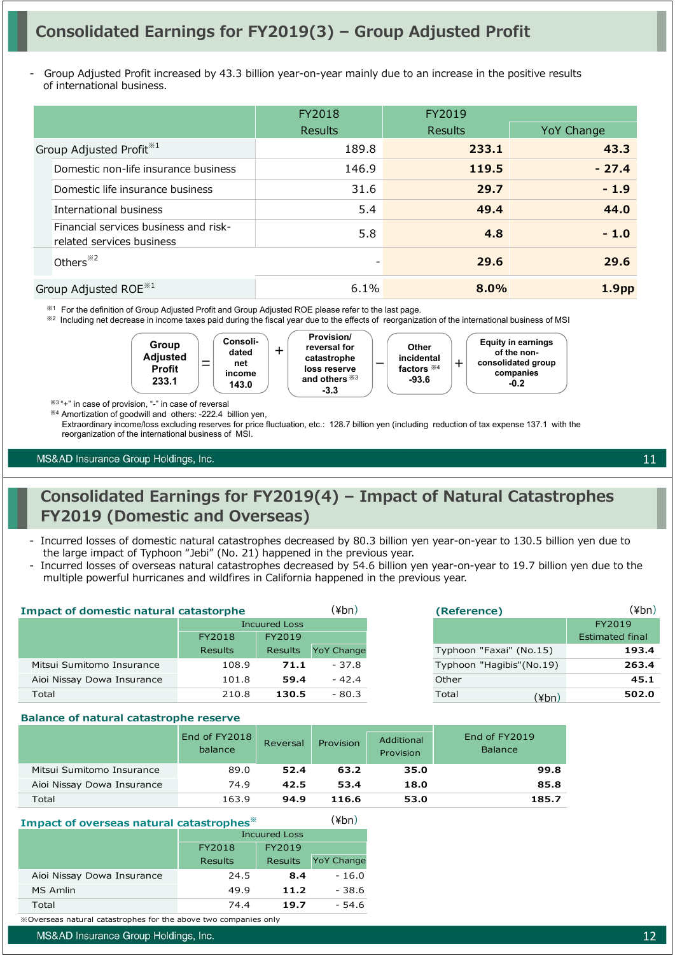# **Consolidated Earnings for FY2019(3) – Group Adjusted Profit**

- Group Adjusted Profit increased by 43.3 billion year-on-year mainly due to an increase in the positive results of international business.

|                                                                    | FY2018  | FY2019         |                   |
|--------------------------------------------------------------------|---------|----------------|-------------------|
|                                                                    | Results | <b>Results</b> | YoY Change        |
| Group Adjusted Profit <sup>*1</sup>                                | 189.8   | 233.1          | 43.3              |
| Domestic non-life insurance business                               | 146.9   | 119.5          | $-27.4$           |
| Domestic life insurance business                                   | 31.6    | 29.7           | $-1.9$            |
| International business                                             | 5.4     | 49.4           | 44.0              |
| Financial services business and risk-<br>related services business | 5.8     | 4.8            | $-1.0$            |
| Others $*2$                                                        |         | 29.6           | 29.6              |
| Group Adjusted ROE <sup>*1</sup>                                   | 6.1%    | 8.0%           | 1.9 <sub>pp</sub> |

※<sup>1</sup> For the definition of Group Adjusted Profit and Group Adjusted ROE please refer to the last page.

※<sup>2</sup> Including net decrease in income taxes paid during the fiscal year due to the effects of reorganization of the international business of MSI



※<sup>3</sup> "+" in case of provision, "-" in case of reversal

※<sup>4</sup> Amortization of goodwill and others: -222.4 billion yen,

Extraordinary income/loss excluding reserves for price fluctuation, etc.: 128.7 billion yen (including reduction of tax expense 137.1 with the reorganization of the international business of MSI.

#### MS&AD Insurance Group Holdings, Inc.

11

# **Consolidated Earnings for FY2019(4) – Impact of Natural Catastrophes FY2019 (Domestic and Overseas)**

- Incurred losses of domestic natural catastrophes decreased by 80.3 billion yen year-on-year to 130.5 billion yen due to the large impact of Typhoon "Jebi" (No. 21) happened in the previous year.
- Incurred losses of overseas natural catastrophes decreased by 54.6 billion yen year-on-year to 19.7 billion yen due to the multiple powerful hurricanes and wildfires in California happened in the previous year.

| <b>Impact of domestic natural catastorphe</b> |                |                      | (¥bn)             | (Reference)              | (¥bn)                  |
|-----------------------------------------------|----------------|----------------------|-------------------|--------------------------|------------------------|
|                                               |                | <b>Incuured Loss</b> |                   |                          | FY2019                 |
|                                               | FY2018         | FY2019               |                   |                          | <b>Estimated final</b> |
|                                               | <b>Results</b> | <b>Results</b>       | <b>YoY Change</b> | Typhoon "Faxai" (No.15)  | 193.4                  |
| Mitsui Sumitomo Insurance                     | 108.9          | 71.1                 | $-37.8$           | Typhoon "Hagibis"(No.19) | 263.4                  |
| Aioi Nissay Dowa Insurance                    | 101.8          | 59.4                 | $-42.4$           | Other                    | 45.1                   |
| Total                                         | 210.8          | 130.5                | $-80.3$           | Total<br>(¥bn)           | 502.0                  |

#### **Balance of natural catastrophe reserve**

|                            | End of FY2018<br>balance | Reversal | Provision | Additional<br>Provision | End of FY2019<br><b>Balance</b> |
|----------------------------|--------------------------|----------|-----------|-------------------------|---------------------------------|
| Mitsui Sumitomo Insurance  | 89.0                     | 52.4     | 63.2      | 35.0                    | 99.8                            |
| Aioi Nissay Dowa Insurance | 74.9                     | 42.5     | 53.4      | 18.0                    | 85.8                            |
| Total                      | 163.9                    | 94.9     | 116.6     | 53.0                    | 185.7                           |

| Impact of overseas natural catastrophes* | (¥bn)   |         |                   |
|------------------------------------------|---------|---------|-------------------|
|                                          |         |         |                   |
|                                          | FY2018  | FY2019  |                   |
|                                          | Results | Results | <b>YoY Change</b> |
| Aioi Nissay Dowa Insurance               | 24.5    | 8.4     | $-16.0$           |
| MS Amlin                                 | 49.9    | 11.2    | $-38.6$           |
| Total                                    | 74.4    | 19.7    | $-54.6$           |

※Overseas natural catastrophes for the above two companies only

MS&AD Insurance Group Holdings, Inc.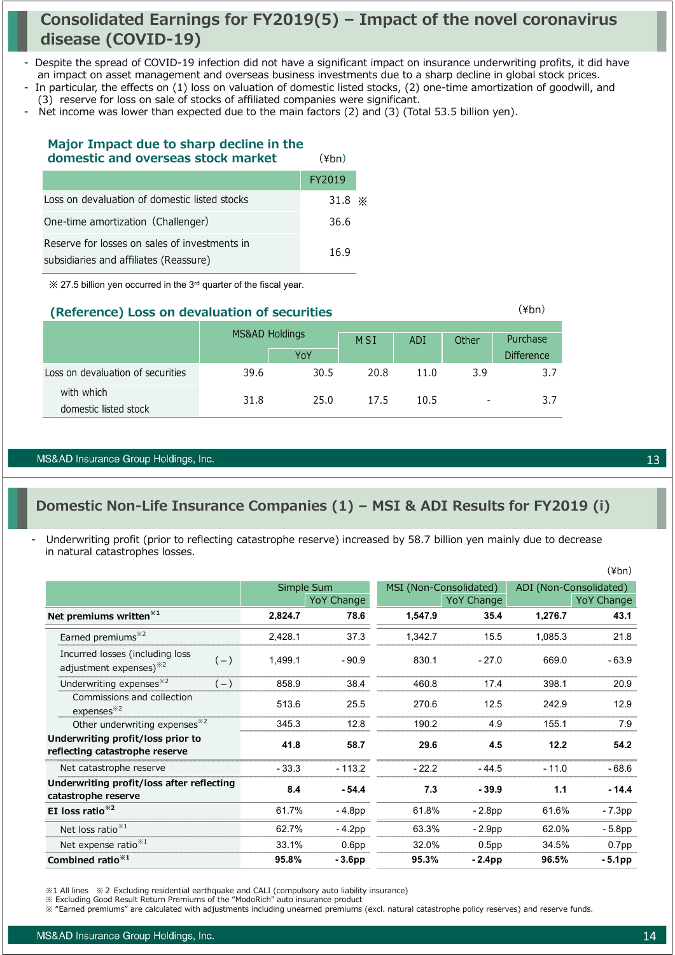# **Consolidated Earnings for FY2019(5) – Impact of the novel coronavirus disease (COVID-19)**

- Despite the spread of COVID-19 infection did not have a significant impact on insurance underwriting profits, it did have an impact on asset management and overseas business investments due to a sharp decline in global stock prices.
- In particular, the effects on (1) loss on valuation of domestic listed stocks, (2) one-time amortization of goodwill, and (3) reserve for loss on sale of stocks of affiliated companies were significant.
- Net income was lower than expected due to the main factors (2) and (3) (Total 53.5 billion yen).

| Major Impact due to sharp decline in the                                                |                        |    |
|-----------------------------------------------------------------------------------------|------------------------|----|
| domestic and overseas stock market                                                      | $(\frac{\gamma}{\pi})$ |    |
|                                                                                         | FY2019                 |    |
| Loss on devaluation of domestic listed stocks                                           | 31.8                   | X. |
| One-time amortization (Challenger)                                                      | 36.6                   |    |
| Reserve for losses on sales of investments in<br>subsidiaries and affiliates (Reassure) | 16.9                   |    |

※ 27.5 billion yen occurred in the 3rd quarter of the fiscal year.

| (¥bn)<br>(Reference) Loss on devaluation of securities |                           |      |      |      |                          |                   |  |
|--------------------------------------------------------|---------------------------|------|------|------|--------------------------|-------------------|--|
|                                                        | <b>MS&amp;AD Holdings</b> |      | MSI  | ADI  | Other                    | Purchase          |  |
|                                                        |                           | YoY  |      |      |                          | <b>Difference</b> |  |
| Loss on devaluation of securities                      | 39.6                      | 30.5 | 20.8 | 11.0 | 3.9                      | 3.7               |  |
| with which<br>domestic listed stock                    | 31.8                      | 25.0 | 17.5 | 10.5 | $\overline{\phantom{0}}$ | 3.7               |  |

#### MS&AD Insurance Group Holdings, Inc.

### **Domestic Non-Life Insurance Companies (1) – MSI & ADI Results for FY2019 (i)**

- Underwriting profit (prior to reflecting catastrophe reserve) increased by 58.7 billion yen mainly due to decrease in natural catastrophes losses.

|                                                  |                   |                                       |                   |                                 | $(1 + U)$              |
|--------------------------------------------------|-------------------|---------------------------------------|-------------------|---------------------------------|------------------------|
|                                                  |                   |                                       |                   |                                 | ADI (Non-Consolidated) |
|                                                  | <b>YoY Change</b> |                                       | YoY Change        |                                 | YoY Change             |
| 2,824.7                                          | 78.6              | 1,547.9                               | 35.4              | 1,276.7                         | 43.1                   |
| 2,428.1                                          | 37.3              | 1,342.7                               | 15.5              | 1,085.3                         | 21.8                   |
| 1,499.1                                          | $-90.9$           | 830.1                                 | $-27.0$           | 669.0                           | $-63.9$                |
| 858.9                                            | 38.4              | 460.8                                 | 17.4              | 398.1                           | 20.9                   |
| 513.6                                            | 25.5              | 270.6                                 | 12.5              | 242.9                           | 12.9                   |
| 345.3                                            | 12.8              | 190.2                                 | 4.9               | 155.1                           | 7.9                    |
| 41.8                                             | 58.7              | 29.6                                  | 4.5               | 12.2                            | 54.2                   |
| $-33.3$                                          | $-113.2$          | $-22.2$                               | $-44.5$           | $-11.0$                         | $-68.6$                |
| Underwriting profit/loss after reflecting<br>8.4 | $-54.4$           | 7.3                                   | $-39.9$           | 1.1                             | $-14.4$                |
|                                                  | - 4.8pp           |                                       | $-2.8pp$          | 61.6%                           | $-7.3pp$               |
|                                                  | $-4.2pp$          | 63.3%                                 | $-2.9pp$          | 62.0%                           | $-5.8pp$               |
|                                                  | 0.6 <sub>pp</sub> | 32.0%                                 | 0.5 <sub>pp</sub> | 34.5%                           | 0.7 <sub>pp</sub>      |
| 95.8%                                            | $-3.6pp$          | 95.3%                                 | $-2.4$ pp         | 96.5%                           | - 5.1pp                |
|                                                  |                   | Simple Sum<br>61.7%<br>62.7%<br>33.1% |                   | MSI (Non-Consolidated)<br>61.8% |                        |

<sup>※1</sup> All lines ※2 Excluding residential earthquake and CALI (compulsory auto liability insurance)

 $(yhn)$ 

<sup>※</sup> Excluding Good Result Return Premiums of the "ModoRich" auto insurance product

<sup>※ &</sup>quot;Earned premiums" are calculated with adjustments including unearned premiums (excl. natural catastrophe policy reserves) and reserve funds.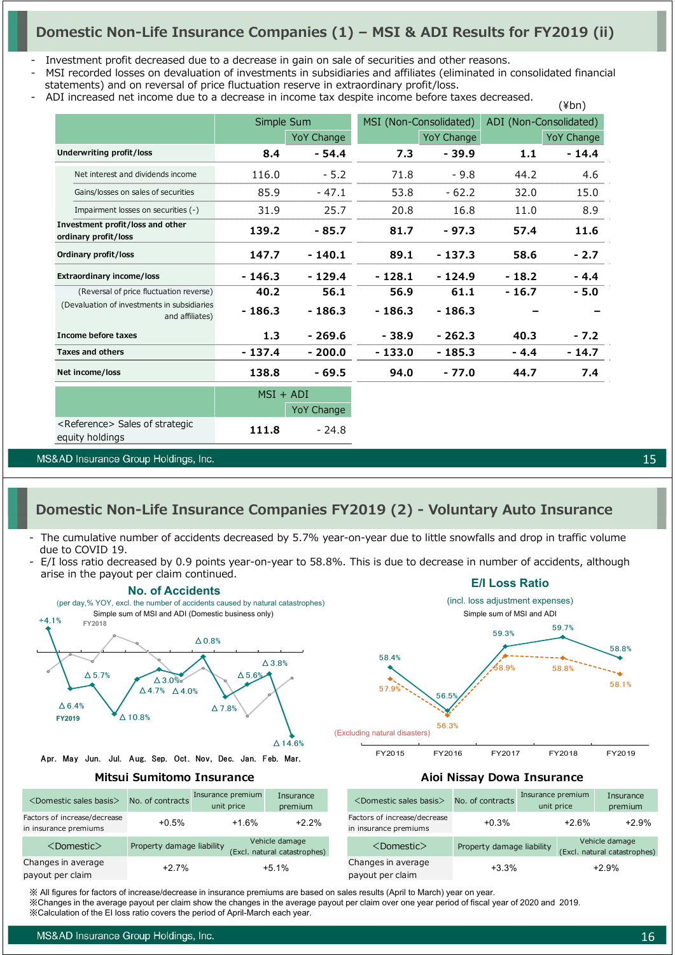# **Domestic Non-Life Insurance Companies (1) – MSI & ADI Results for FY2019 (ii)**

Investment profit decreased due to a decrease in gain on sale of securities and other reasons.

- MSI recorded losses on devaluation of investments in subsidiaries and affiliates (eliminated in consolidated financial statements) and on reversal of price fluctuation reserve in extraordinary profit/loss.

(¥bn) - ADI increased net income due to a decrease in income tax despite income before taxes decreased.

|                                                                | Simple Sum  |                   |          | MSI (Non-Consolidated) |         | ADI (Non-Consolidated) |
|----------------------------------------------------------------|-------------|-------------------|----------|------------------------|---------|------------------------|
|                                                                |             | <b>YoY Change</b> |          | <b>YoY Change</b>      |         | <b>YoY Change</b>      |
| Underwriting profit/loss                                       | 8.4         | - 54.4            | 7.3      | $-39.9$                | 1.1     | $-14.4$                |
| Net interest and dividends income                              | 116.0       | $-5.2$            | 71.8     | $-9.8$                 | 44.2    | 4.6                    |
| Gains/losses on sales of securities                            | 85.9        | $-47.1$           | 53.8     | $-62.2$                | 32.0    | 15.0                   |
| Impairment losses on securities (-)                            | 31.9        | 25.7              | 20.8     | 16.8                   | 11.0    | 8.9                    |
| Investment profit/loss and other<br>ordinary profit/loss       | 139.2       | $-85.7$           | 81.7     | $-97.3$                | 57.4    | 11.6                   |
| Ordinary profit/loss                                           | 147.7       | $-140.1$          | 89.1     | - 137.3                | 58.6    | - 2.7                  |
| <b>Extraordinary income/loss</b>                               | $-146.3$    | $-129.4$          | $-128.1$ | $-124.9$               | $-18.2$ | - 4.4                  |
| (Reversal of price fluctuation reverse)                        | 40.2        | 56.1              | 56.9     | 61.1                   | $-16.7$ | $-5.0$                 |
| (Devaluation of investments in subsidiaries<br>and affiliates) | $-186.3$    | - 186.3           | - 186.3  | $-186.3$               |         |                        |
| Income before taxes                                            | 1.3         | $-269.6$          | $-38.9$  | $-262.3$               | 40.3    | $-7.2$                 |
| <b>Taxes and others</b>                                        | $-137.4$    | $-200.0$          | $-133.0$ | $-185.3$               | $-4.4$  | $-14.7$                |
| Net income/loss                                                | 138.8       | $-69.5$           | 94.0     | $-77.0$                | 44.7    | 7.4                    |
|                                                                | $MSI + ADI$ |                   |          |                        |         |                        |
|                                                                |             | YoY Change        |          |                        |         |                        |
| <reference> Sales of strategic</reference>                     | 111.8       | - 24.8            |          |                        |         |                        |

MS&AD Insurance Group Holdings, Inc.

equity holdings

### 15

### **Domestic Non-Life Insurance Companies FY2019 (2) - Voluntary Auto Insurance**

- The cumulative number of accidents decreased by 5.7% year-on-year due to little snowfalls and drop in traffic volume due to COVID 19.
- E/I loss ratio decreased by 0.9 points year-on-year to 58.8%. This is due to decrease in number of accidents, although arise in the payout per claim continued.



Apr. May Jun. Jul. Aug. Sep. Oct. Nov, Dec. Jan. Feb. Mar.

| <domestic basis="" sales=""></domestic>               | No. of contracts          | Insurance premium<br>unit price | Insurance<br>premium                           | <domestic basis="" sales=""></domestic>               | No. of contracts          | Insurano<br>uni |
|-------------------------------------------------------|---------------------------|---------------------------------|------------------------------------------------|-------------------------------------------------------|---------------------------|-----------------|
| Factors of increase/decrease<br>in insurance premiums | $+0.5%$                   | $+1.6%$                         | $+2.2%$                                        | Factors of increase/decrease<br>in insurance premiums | $+0.3%$                   |                 |
| $<$ Domestic $>$                                      | Property damage liability |                                 | Vehicle damage<br>(Excl. natural catastrophes) | $<$ Domestic $>$                                      | Property damage liability |                 |
| Changes in average<br>payout per claim                | $+2.7%$                   |                                 | $+5.1%$                                        | Changes in average<br>payout per claim                | $+3.3%$                   |                 |



#### **Mitsui Sumitomo Insurance Mitsui Sumitomo Insurance Aioi Nissay Dowa Insurance**

| ntracts  | Insurance premium<br>unit price | Insurance<br>premium                           | <domestic basis="" sales=""></domestic>               | No. of contracts          | Insurance premium<br>unit price |        | Insurance<br>premium                           |
|----------|---------------------------------|------------------------------------------------|-------------------------------------------------------|---------------------------|---------------------------------|--------|------------------------------------------------|
| $-0.5\%$ | $+1.6%$                         | $+2.2%$                                        | Factors of increase/decrease<br>in insurance premiums | $+0.3%$                   |                                 | $+26%$ | $+2.9%$                                        |
|          | damage liability                | Vehicle damage<br>(Excl. natural catastrophes) | $<$ Domestic $>$                                      | Property damage liability |                                 |        | Vehicle damage<br>(Excl. natural catastrophes) |
| +2.7%    |                                 | $+5.1%$                                        | Changes in average<br>payout per claim                | $+3.3%$                   |                                 |        | $+2.9%$                                        |

※ All figures for factors of increase/decrease in insurance premiums are based on sales results (April to March) year on year. ※Changes in the average payout per claim show the changes in the average payout per claim over one year period of fiscal year of 2020 and 2019. ※Calculation of the EI loss ratio covers the period of April-March each year.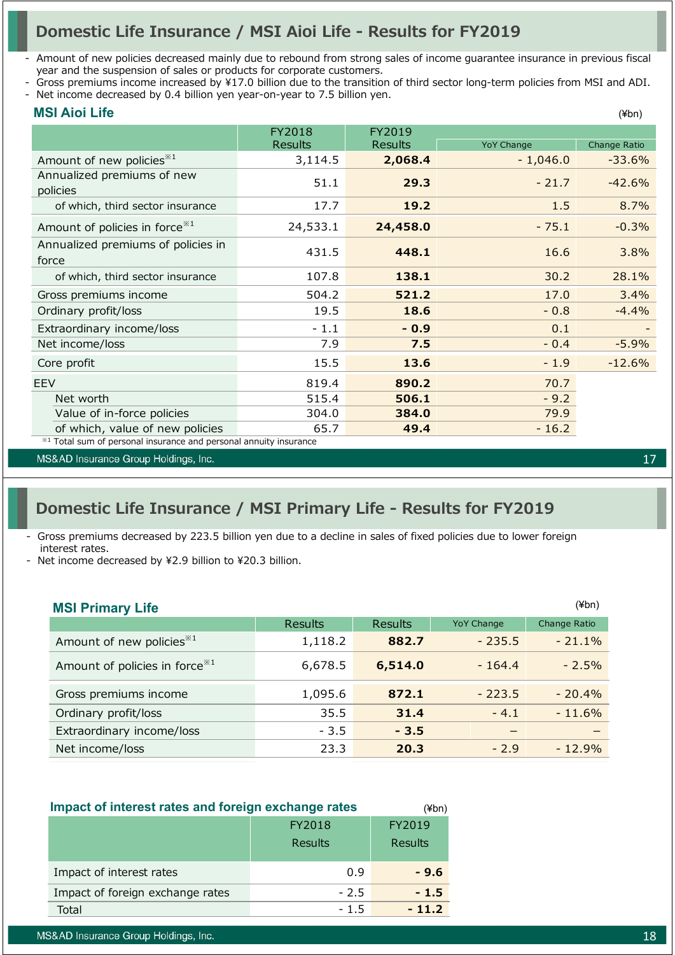# **Domestic Life Insurance / MSI Aioi Life - Results for FY2019**

- Amount of new policies decreased mainly due to rebound from strong sales of income guarantee insurance in previous fiscal year and the suspension of sales or products for corporate customers.

- Gross premiums income increased by ¥17.0 billion due to the transition of third sector long-term policies from MSI and ADI. - Net income decreased by 0.4 billion yen year-on-year to 7.5 billion yen.
- 

| <b>MSI Aioi Life</b> |  |
|----------------------|--|
|                      |  |

|                                                                   | FY2018         | FY2019   |            |              |
|-------------------------------------------------------------------|----------------|----------|------------|--------------|
|                                                                   | <b>Results</b> | Results  | YoY Change | Change Ratio |
| Amount of new policies <sup>*1</sup>                              | 3,114.5        | 2,068.4  | $-1,046.0$ | $-33.6%$     |
| Annualized premiums of new<br>policies                            | 51.1           | 29.3     | $-21.7$    | $-42.6%$     |
| of which, third sector insurance                                  | 17.7           | 19.2     | 1.5        | 8.7%         |
| Amount of policies in force <sup>*1</sup>                         | 24,533.1       | 24,458.0 | $-75.1$    | $-0.3%$      |
| Annualized premiums of policies in<br>force                       | 431.5          | 448.1    | 16.6       | 3.8%         |
| of which, third sector insurance                                  | 107.8          | 138.1    | 30.2       | 28.1%        |
| Gross premiums income                                             | 504.2          | 521.2    | 17.0       | 3.4%         |
| Ordinary profit/loss                                              | 19.5           | 18.6     | $-0.8$     | $-4.4%$      |
| Extraordinary income/loss                                         | $-1.1$         | $-0.9$   | 0.1        |              |
| Net income/loss                                                   | 7.9            | 7.5      | $-0.4$     | $-5.9%$      |
| Core profit                                                       | 15.5           | 13.6     | $-1.9$     | $-12.6%$     |
| <b>EEV</b>                                                        | 819.4          | 890.2    | 70.7       |              |
| Net worth                                                         | 515.4          | 506.1    | $-9.2$     |              |
| Value of in-force policies                                        | 304.0          | 384.0    | 79.9       |              |
| of which, value of new policies                                   | 65.7           | 49.4     | $-16.2$    |              |
| *1 Total sum of personal insurance and personal annuity insurance |                |          |            |              |

MS&AD Insurance Group Holdings, Inc.

# **Domestic Life Insurance / MSI Primary Life - Results for FY2019**

Gross premiums decreased by 223.5 billion yen due to a decline in sales of fixed policies due to lower foreign interest rates.

- Net income decreased by ¥2.9 billion to ¥20.3 billion.

| <b>MSI Primary Life</b>                   |                |                |                   | $(\nPsi b n)$ |
|-------------------------------------------|----------------|----------------|-------------------|---------------|
|                                           | <b>Results</b> | <b>Results</b> | <b>YoY Change</b> | Change Ratio  |
| Amount of new policies <sup>*1</sup>      | 1,118.2        | 882.7          | $-235.5$          | $-21.1%$      |
| Amount of policies in force <sup>*1</sup> | 6,678.5        | 6,514.0        | $-164.4$          | $-2.5%$       |
| Gross premiums income                     | 1,095.6        | 872.1          | $-223.5$          | $-20.4\%$     |
| Ordinary profit/loss                      | 35.5           | 31.4           | $-4.1$            | $-11.6%$      |
| Extraordinary income/loss                 | $-3.5$         | $-3.5$         |                   |               |
| Net income/loss                           | 23.3           | 20.3           | $-2.9$            | $-12.9%$      |

| Impact of interest rates and foreign exchange rates | (¥bn)   |                |
|-----------------------------------------------------|---------|----------------|
|                                                     | FY2018  | FY2019         |
|                                                     | Results | <b>Results</b> |
| Impact of interest rates                            | 0.9     | - 9.6          |
| Impact of foreign exchange rates                    | $-2.5$  | $-1.5$         |
| Total                                               | $-1.5$  | $-11.2$        |

(¥bn)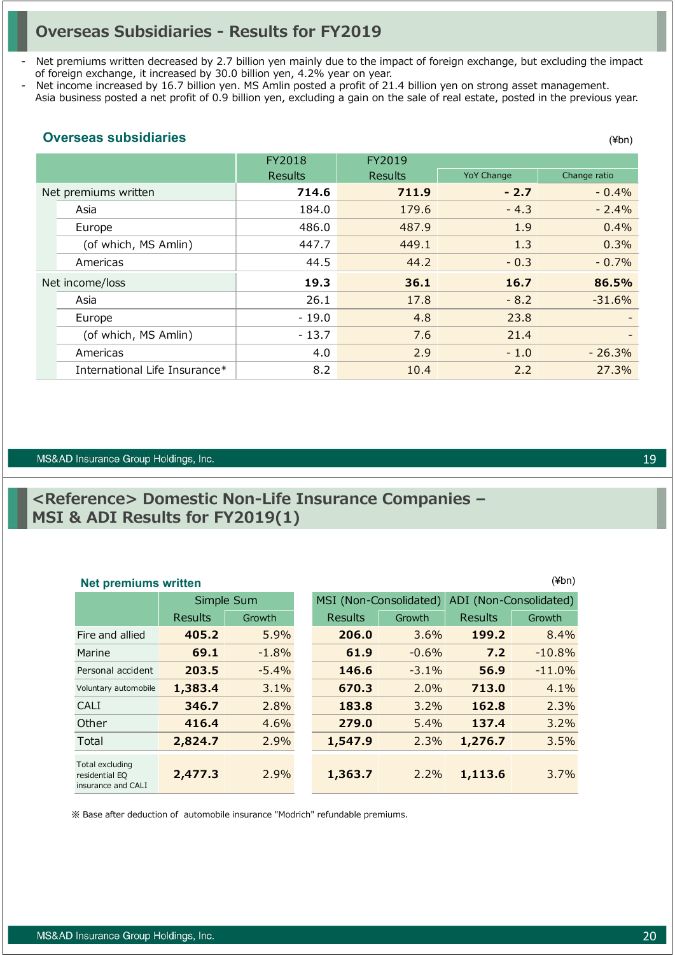# **Overseas Subsidiaries - Results for FY2019**

Net premiums written decreased by 2.7 billion yen mainly due to the impact of foreign exchange, but excluding the impact of foreign exchange, it increased by 30.0 billion yen, 4.2% year on year.

Net income increased by 16.7 billion yen. MS Amlin posted a profit of 21.4 billion yen on strong asset management.

Asia business posted a net profit of 0.9 billion yen, excluding a gain on the sale of real estate, posted in the previous year.

### **Overseas subsidiaries**

|                               | FY2018<br><b>Results</b> | FY2019<br>Results | <b>YoY Change</b> | Change ratio |
|-------------------------------|--------------------------|-------------------|-------------------|--------------|
| Net premiums written          | 714.6                    | 711.9             | $-2.7$            | $-0.4%$      |
| Asia                          | 184.0                    | 179.6             | $-4.3$            | $-2.4%$      |
| Europe                        | 486.0                    | 487.9             | 1.9               | 0.4%         |
| (of which, MS Amlin)          | 447.7                    | 449.1             | 1.3               | 0.3%         |
| Americas                      | 44.5                     | 44.2              | $-0.3$            | $-0.7%$      |
| Net income/loss               | 19.3                     | 36.1              | 16.7              | 86.5%        |
| Asia                          | 26.1                     | 17.8              | $-8.2$            | $-31.6%$     |
| Europe                        | $-19.0$                  | 4.8               | 23.8              |              |
| (of which, MS Amlin)          | $-13.7$                  | 7.6               | 21.4              |              |
| Americas                      | 4.0                      | 2.9               | $-1.0$            | $-26.3%$     |
| International Life Insurance* | 8.2                      | 10.4              | 2.2               | 27.3%        |

#### MS&AD Insurance Group Holdings, Inc.

# **<Reference> Domestic Non-Life Insurance Companies – MSI & ADI Results for FY2019(1)**

### **Net premiums written** (¥bn)

|                                                         | Simple Sum |          |         | MSI (Non-Consolidated)   | ADI (Non-Consolidated) |          |  |  |
|---------------------------------------------------------|------------|----------|---------|--------------------------|------------------------|----------|--|--|
|                                                         | Results    | Growth   |         | <b>Results</b><br>Growth |                        | Growth   |  |  |
| Fire and allied                                         | 405.2      | 5.9%     | 206.0   | 3.6%                     | 199.2                  | 8.4%     |  |  |
| Marine                                                  | 69.1       | $-1.8\%$ | 61.9    | $-0.6%$                  | 7.2                    | $-10.8%$ |  |  |
| Personal accident                                       | 203.5      | $-5.4%$  | 146.6   | $-3.1%$                  | 56.9                   | $-11.0%$ |  |  |
| Voluntary automobile                                    | 1,383.4    | 3.1%     | 670.3   | 2.0%                     | 713.0                  | 4.1%     |  |  |
| CALI                                                    | 346.7      | 2.8%     | 183.8   | 3.2%                     | 162.8                  | 2.3%     |  |  |
| Other                                                   | 416.4      | 4.6%     | 279.0   | 5.4%                     | 137.4                  | 3.2%     |  |  |
| Total                                                   | 2,824.7    | 2.9%     | 1,547.9 | 2.3%                     | 1,276.7                | 3.5%     |  |  |
| Total excluding<br>residential EQ<br>insurance and CALI | 2,477.3    | 2.9%     | 1,363.7 | 2.2%                     | 1,113.6                | 3.7%     |  |  |

※ Base after deduction of automobile insurance "Modrich" refundable premiums.

19

(¥bn)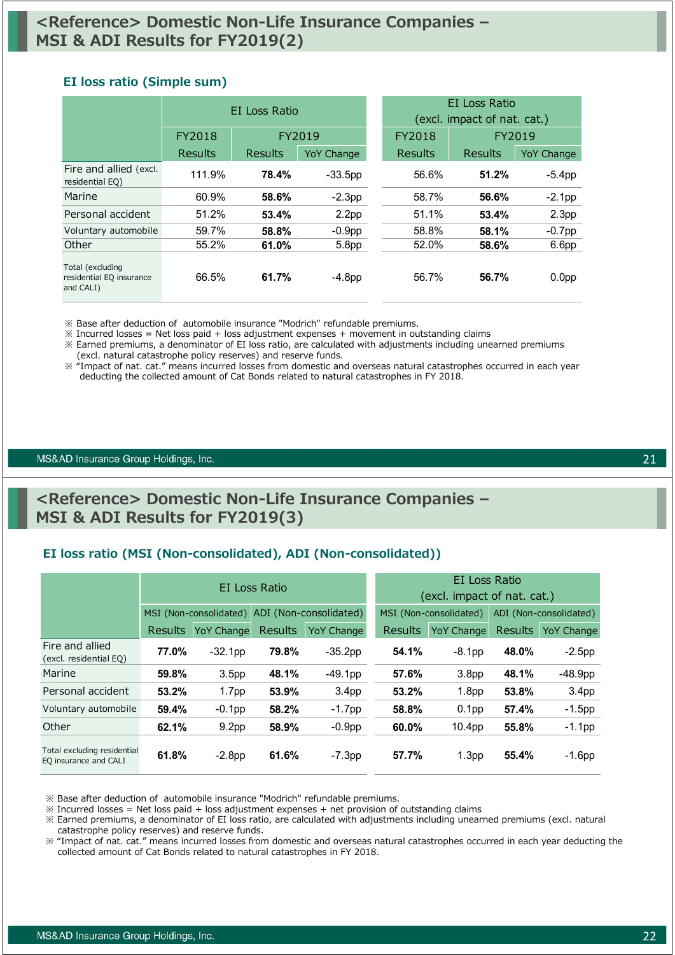#### **EI loss ratio (Simple sum)**

|                                                           | <b>FI</b> Loss Ratio |                              |                   |  | EI Loss Ratio<br>(excl. impact of nat. cat.) |                |                   |  |
|-----------------------------------------------------------|----------------------|------------------------------|-------------------|--|----------------------------------------------|----------------|-------------------|--|
|                                                           | FY2018               | FY2019                       |                   |  | <b>FY2018</b>                                | <b>FY2019</b>  |                   |  |
|                                                           | Results              | Results<br><b>YoY Change</b> |                   |  | Results                                      | <b>Results</b> | <b>YoY Change</b> |  |
| Fire and allied (excl.<br>residential EQ)                 | 111.9%               | 78.4%                        | $-33.5pp$         |  | 56.6%                                        | 51.2%          | $-5.4$ pp         |  |
| Marine                                                    | 60.9%                | 58.6%                        | $-2.3pp$          |  | 58.7%                                        | 56.6%          | $-2.1$ pp         |  |
| Personal accident                                         | 51.2%                | 53.4%                        | 2.2 <sub>pp</sub> |  | 51.1%                                        | 53.4%          | 2.3 <sub>pp</sub> |  |
| Voluntary automobile                                      | 59.7%                | 58.8%                        | $-0.9pp$          |  | 58.8%                                        | 58.1%          | $-0.7$ pp         |  |
| Other                                                     | 55.2%                | 61.0%                        | 5.8pp             |  | 52.0%                                        | 58.6%          | 6.6pp             |  |
| Total (excluding<br>residential EQ insurance<br>and CALI) | 66.5%                | 61.7%                        | $-4.8pp$          |  | 56.7%                                        | 56.7%          | 0.0 <sub>pp</sub> |  |

※ Base after deduction of automobile insurance "Modrich" refundable premiums.

 $\%$  Incurred losses = Net loss paid + loss adjustment expenses + movement in outstanding claims

※ Earned premiums, a denominator of EI loss ratio, are calculated with adjustments including unearned premiums (excl. natural catastrophe policy reserves) and reserve funds.

※ "Impact of nat. cat." means incurred losses from domestic and overseas natural catastrophes occurred in each year deducting the collected amount of Cat Bonds related to natural catastrophes in FY 2018.

#### MS&AD Insurance Group Holdings, Inc.

# **<Reference> Domestic Non-Life Insurance Companies – MSI & ADI Results for FY2019(3)**

### **EI loss ratio (MSI (Non-consolidated), ADI (Non-consolidated))**

|                                                      |                        |                   | EI Loss Ratio          |                   | EI Loss Ratio<br>(excl. impact of nat. cat.) |                        |                |                        |  |
|------------------------------------------------------|------------------------|-------------------|------------------------|-------------------|----------------------------------------------|------------------------|----------------|------------------------|--|
|                                                      | MSI (Non-consolidated) |                   | ADI (Non-consolidated) |                   |                                              | MSI (Non-consolidated) |                | ADI (Non-consolidated) |  |
|                                                      | <b>Results</b>         | <b>YoY Change</b> | <b>Results</b>         | <b>YoY Change</b> | <b>Results</b>                               | <b>YoY Change</b>      | <b>Results</b> | <b>YoY Change</b>      |  |
| Fire and allied<br>(excl. residential EQ)            | 77.0%                  | $-32.1$ pp        | 79.8%                  | $-35.2pp$         | 54.1%                                        | $-8.1pp$               | 48.0%          | $-2.5$ pp              |  |
| Marine                                               | 59.8%                  | 3.5 <sub>pp</sub> | 48.1%                  | $-49.1pp$         | 57.6%                                        | 3.8 <sub>pp</sub>      | 48.1%          | $-48.9pp$              |  |
| Personal accident                                    | 53.2%                  | 1.7 <sub>pp</sub> | 53.9%                  | 3.4 <sub>pp</sub> | 53.2%                                        | 1.8 <sub>pp</sub>      | 53.8%          | 3.4 <sub>pp</sub>      |  |
| Voluntary automobile                                 | 59.4%                  | $-0.1$ pp         | 58.2%                  | $-1.7$ pp         | 58.8%                                        | 0.1 <sub>pp</sub>      | 57.4%          | $-1.5$ pp              |  |
| Other                                                | 62.1%                  | 9.2 <sub>pp</sub> | 58.9%                  | $-0.9pp$          | 60.0%                                        | 10.4 <sub>pp</sub>     | 55.8%          | $-1.1$ pp              |  |
| Total excluding residential<br>EQ insurance and CALI | 61.8%                  | $-2.8pp$          | 61.6%                  | $-7.3pp$          | 57.7%                                        | 1.3 <sub>pp</sub>      | 55.4%          | $-1.6$ pp              |  |

※ Base after deduction of automobile insurance "Modrich" refundable premiums.

 $\%$  Incurred losses = Net loss paid + loss adjustment expenses + net provision of outstanding claims

※ Earned premiums, a denominator of EI loss ratio, are calculated with adjustments including unearned premiums (excl. natural catastrophe policy reserves) and reserve funds.

※ "Impact of nat. cat." means incurred losses from domestic and overseas natural catastrophes occurred in each year deducting the collected amount of Cat Bonds related to natural catastrophes in FY 2018.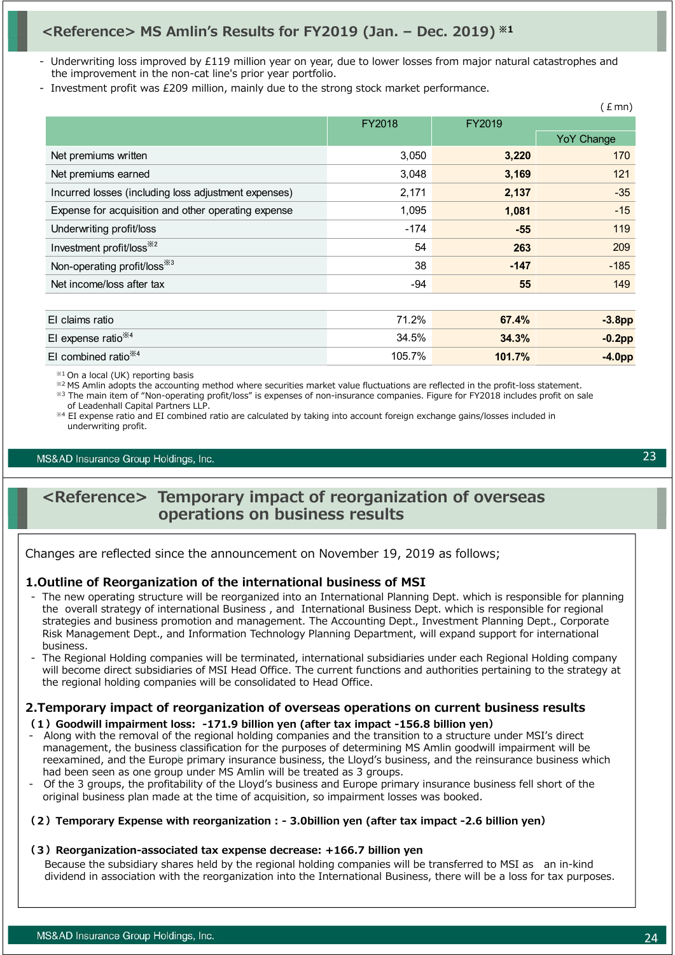# **<Reference> MS Amlin's Results for FY2019 (Jan. – Dec. 2019) ※1**

- Underwriting loss improved by £119 million year on year, due to lower losses from major natural catastrophes and the improvement in the non-cat line's prior year portfolio.
- Investment profit was £209 million, mainly due to the strong stock market performance.

|                                                      |        |        | $\sqrt{2}$        |
|------------------------------------------------------|--------|--------|-------------------|
|                                                      | FY2018 | FY2019 |                   |
|                                                      |        |        | <b>YoY Change</b> |
| Net premiums written                                 | 3,050  | 3,220  | 170               |
| Net premiums earned                                  | 3,048  | 3,169  | 121               |
| Incurred losses (including loss adjustment expenses) | 2,171  | 2,137  | $-35$             |
| Expense for acquisition and other operating expense  | 1,095  | 1,081  | $-15$             |
| Underwriting profit/loss                             | $-174$ | $-55$  | 119               |
| Investment profit/loss <sup>*2</sup>                 | 54     | 263    | 209               |
| Non-operating profit/loss <sup>363</sup>             | 38     | $-147$ | $-185$            |
| Net income/loss after tax                            | -94    | 55     | 149               |
|                                                      |        |        |                   |
| El claims ratio                                      | 71.2%  | 67.4%  | $-3.8pp$          |
|                                                      |        |        |                   |

| EL CRIITIS TAUO                 | 1.270  | 01.470 | -9.ODD           |
|---------------------------------|--------|--------|------------------|
| El expense ratio <sup>*4</sup>  | 34.5%  | 34.3%  | -0.2pp           |
| El combined ratio <sup>*4</sup> | 105.7% | 101.7% | .0 <sub>pp</sub> |

※1 On a local (UK) reporting basis

※2 MS Amlin adopts the accounting method where securities market value fluctuations are reflected in the profit-loss statement.

※3 The main item of "Non-operating profit/loss" is expenses of non-insurance companies. Figure for FY2018 includes profit on sale of Leadenhall Capital Partners LLP.

※4 EI expense ratio and EI combined ratio are calculated by taking into account foreign exchange gains/losses included in underwriting profit.

#### MS&AD Insurance Group Holdings, Inc.

# **<Reference> Temporary impact of reorganization of overseas operations on business results**

Changes are reflected since the announcement on November 19, 2019 as follows;

### **1.Outline of Reorganization of the international business of MSI**

- The new operating structure will be reorganized into an International Planning Dept. which is responsible for planning the overall strategy of international Business , and International Business Dept. which is responsible for regional strategies and business promotion and management. The Accounting Dept., Investment Planning Dept., Corporate Risk Management Dept., and Information Technology Planning Department, will expand support for international business.
- The Regional Holding companies will be terminated, international subsidiaries under each Regional Holding company will become direct subsidiaries of MSI Head Office. The current functions and authorities pertaining to the strategy at the regional holding companies will be consolidated to Head Office.

### **2.Temporary impact of reorganization of overseas operations on current business results**

#### **(1)Goodwill impairment loss: -171.9 billion yen (after tax impact -156.8 billion yen)**

- Along with the removal of the regional holding companies and the transition to a structure under MSI's direct management, the business classification for the purposes of determining MS Amlin goodwill impairment will be reexamined, and the Europe primary insurance business, the Lloyd's business, and the reinsurance business which had been seen as one group under MS Amlin will be treated as 3 groups.
- Of the 3 groups, the profitability of the Lloyd's business and Europe primary insurance business fell short of the original business plan made at the time of acquisition, so impairment losses was booked.

#### **(2)Temporary Expense with reorganization : - 3.0billion yen (after tax impact -2.6 billion yen)**

#### *(***3***)***Reorganization-associated tax expense decrease: +166.7 billion yen**

Because the subsidiary shares held by the regional holding companies will be transferred to MSI as an in-kind dividend in association with the reorganization into the International Business, there will be a loss for tax purposes.

 $(f \text{mn})$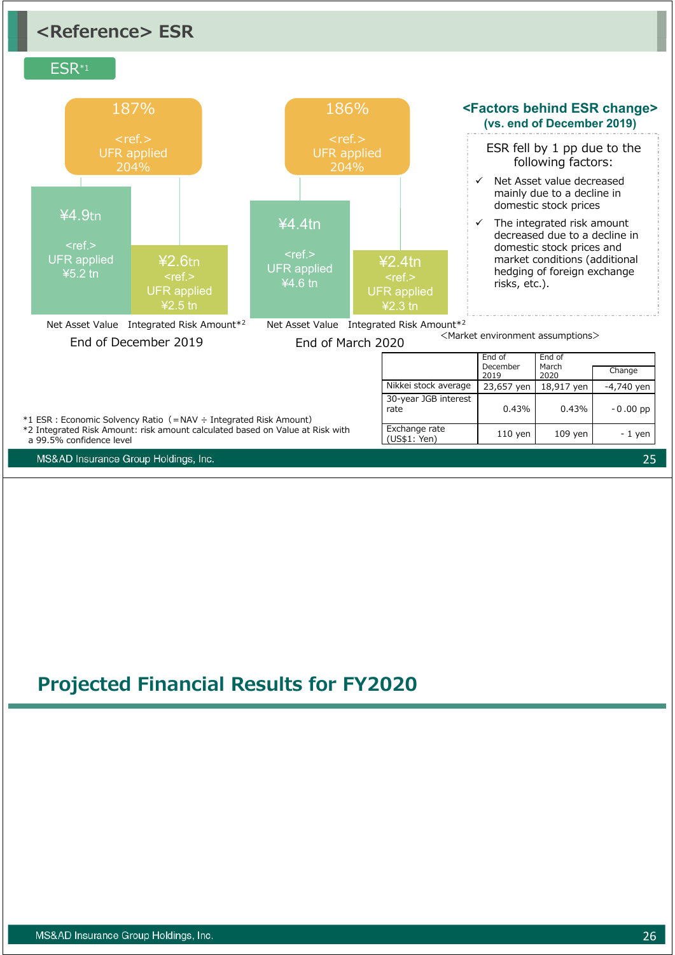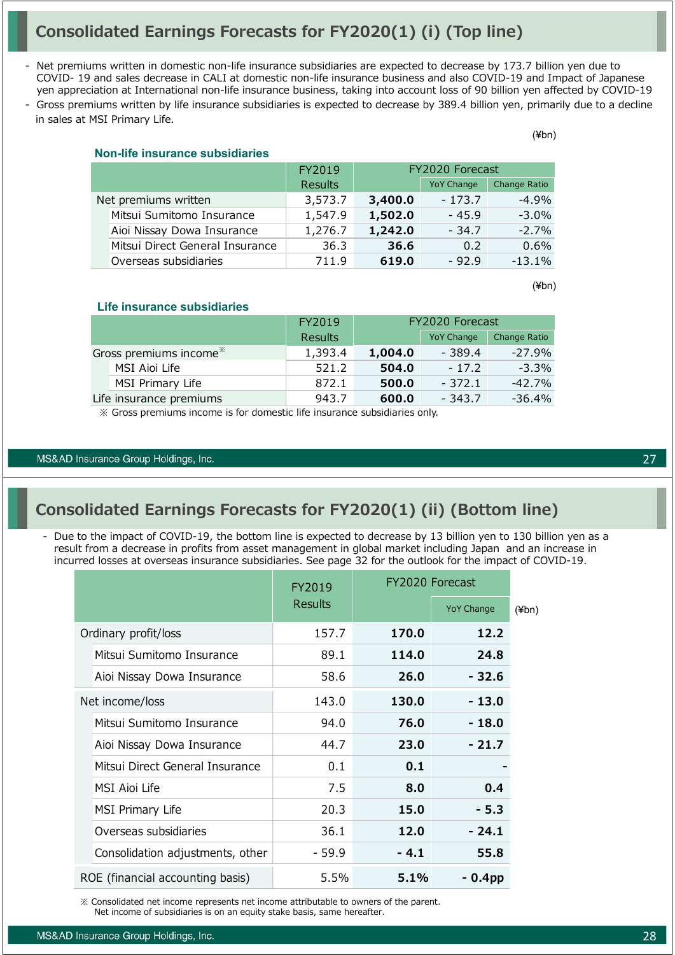# **Consolidated Earnings Forecasts for FY2020(1) (i) (Top line)**

- Net premiums written in domestic non-life insurance subsidiaries are expected to decrease by 173.7 billion yen due to COVID- 19 and sales decrease in CALI at domestic non-life insurance business and also COVID-19 and Impact of Japanese yen appreciation at International non-life insurance business, taking into account loss of 90 billion yen affected by COVID-19
- Gross premiums written by life insurance subsidiaries is expected to decrease by 389.4 billion yen, primarily due to a decline in sales at MSI Primary Life.

(¥bn)

|                      | <b>NOTHLE IIISUI AIICE SUDSIUIAIIES</b> |         |                 |                   |              |  |
|----------------------|-----------------------------------------|---------|-----------------|-------------------|--------------|--|
|                      |                                         | FY2019  | FY2020 Forecast |                   |              |  |
|                      |                                         | Results |                 | <b>YoY Change</b> | Change Ratio |  |
| Net premiums written |                                         | 3,573.7 | 3,400.0         | $-173.7$          | $-4.9%$      |  |
|                      | Mitsui Sumitomo Insurance               | 1,547.9 | 1,502.0         | $-45.9$           | $-3.0\%$     |  |
|                      | Aioi Nissay Dowa Insurance              | 1,276.7 | 1,242.0         | $-34.7$           | $-2.7%$      |  |
|                      | Mitsui Direct General Insurance         | 36.3    | 36.6            | 0.2               | 0.6%         |  |
|                      | Overseas subsidiaries                   | 711.9   | 619.0           | $-92.9$           | $-13.1%$     |  |

(¥bn)

#### **Life insurance subsidiaries**

**Non-life insurance subsidiaries** 

|                                    |                         | FY2019         | FY2020 Forecast |                   |              |
|------------------------------------|-------------------------|----------------|-----------------|-------------------|--------------|
|                                    |                         | <b>Results</b> |                 | <b>YoY Change</b> | Change Ratio |
| Gross premiums income <sup>*</sup> |                         | 1,393.4        | 1,004.0         | - 389.4           | $-27.9%$     |
|                                    | MSI Aioi Life           | 521.2          | 504.0           | $-17.2$           | $-3.3\%$     |
|                                    | MSI Primary Life        | 872.1          | 500.0           | $-372.1$          | $-42.7%$     |
|                                    | Life insurance premiums | 943.7          | 600.0           | $-343.7$          | $-36.4%$     |

※ Gross premiums income is for domestic life insurance subsidiaries only.

#### MS&AD Insurance Group Holdings, Inc.

# **Consolidated Earnings Forecasts for FY2020(1) (ii) (Bottom line)**

- Due to the impact of COVID-19, the bottom line is expected to decrease by 13 billion yen to 130 billion yen as a result from a decrease in profits from asset management in global market including Japan and an increase in incurred losses at overseas insurance subsidiaries. See page 32 for the outlook for the impact of COVID-19.

|                 |                                  | FY2019         |        | FY2020 Forecast   |             |
|-----------------|----------------------------------|----------------|--------|-------------------|-------------|
|                 |                                  | <b>Results</b> |        | <b>YoY Change</b> | $(\n  4bn)$ |
|                 | Ordinary profit/loss             | 157.7          | 170.0  | 12.2              |             |
|                 | Mitsui Sumitomo Insurance        | 89.1           | 114.0  | 24.8              |             |
|                 | Aioi Nissay Dowa Insurance       | 58.6           | 26.0   | $-32.6$           |             |
| Net income/loss |                                  | 143.0          | 130.0  | $-13.0$           |             |
|                 | Mitsui Sumitomo Insurance        | 94.0           | 76.0   | $-18.0$           |             |
|                 | Aioi Nissay Dowa Insurance       | 44.7           | 23.0   | $-21.7$           |             |
|                 | Mitsui Direct General Insurance  | 0.1            | 0.1    |                   |             |
|                 | MSI Aioi Life                    | 7.5            | 8.0    | 0.4               |             |
|                 | MSI Primary Life                 | 20.3           | 15.0   | $-5.3$            |             |
|                 | Overseas subsidiaries            | 36.1           | 12.0   | - 24.1            |             |
|                 | Consolidation adjustments, other | - 59.9         | $-4.1$ | 55.8              |             |
|                 | ROE (financial accounting basis) | 5.5%           | 5.1%   | $-0.4$ pp         |             |

※ Consolidated net income represents net income attributable to owners of the parent. Net income of subsidiaries is on an equity stake basis, same hereafter.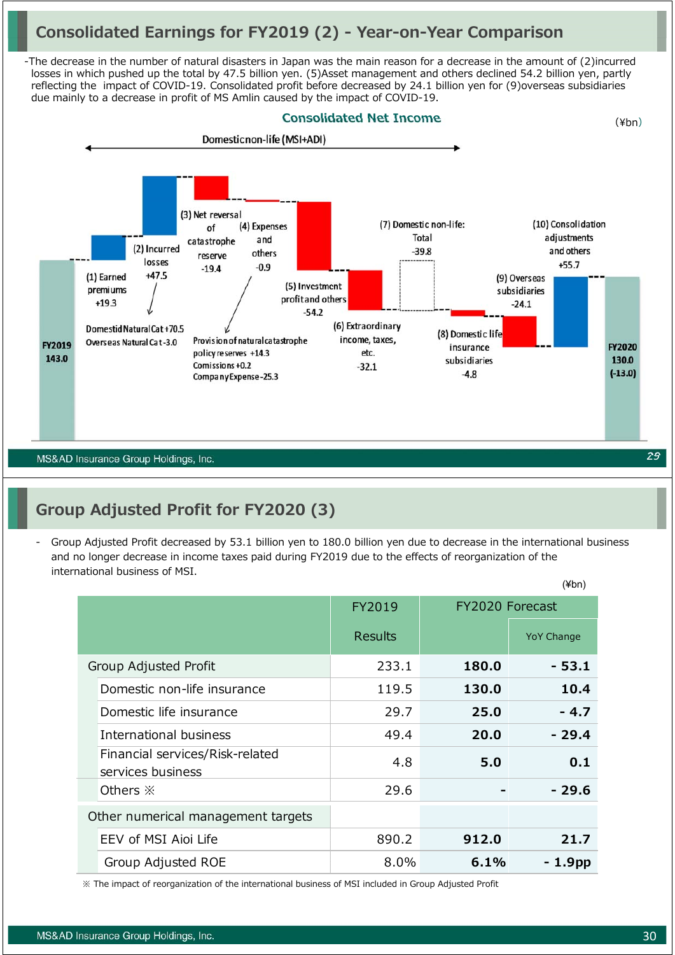# **Consolidated Earnings for FY2019 (2) - Year-on-Year Comparison**

-The decrease in the number of natural disasters in Japan was the main reason for a decrease in the amount of (2)incurred losses in which pushed up the total by 47.5 billion yen. (5)Asset management and others declined 54.2 billion yen, partly reflecting the impact of COVID-19. Consolidated profit before decreased by 24.1 billion yen for (9)overseas subsidiaries due mainly to a decrease in profit of MS Amlin caused by the impact of COVID-19.



# **Group Adjusted Profit for FY2020 (3)**

 $\alpha$ - Group Adjusted Profit decreased by 53.1 billion yen to 180.0 billion yen due to decrease in the international business and no longer decrease in income taxes paid during FY2019 due to the effects of reorganization of the international business of MSI.

| (≇DN) |                                                      |                |                 |                   |  |
|-------|------------------------------------------------------|----------------|-----------------|-------------------|--|
|       |                                                      | FY2019         | FY2020 Forecast |                   |  |
|       |                                                      | <b>Results</b> |                 | <b>YoY Change</b> |  |
|       | Group Adjusted Profit                                | 233.1          | 180.0           | - 53.1            |  |
|       | Domestic non-life insurance                          | 119.5          | 130.0           | 10.4              |  |
|       | Domestic life insurance                              | 29.7           | 25.0            | $-4.7$            |  |
|       | International business                               | 49.4           | 20.0            | $-29.4$           |  |
|       | Financial services/Risk-related<br>services business | 4.8            | 5.0             | 0.1               |  |
|       | Others $\mathbb{X}$                                  | 29.6           |                 | $-29.6$           |  |
|       | Other numerical management targets                   |                |                 |                   |  |
|       | EEV of MSI Aioi Life                                 | 890.2          | 912.0           | 21.7              |  |
|       | Group Adjusted ROE                                   | 8.0%           | 6.1%            | $-1.9pp$          |  |

※ The impact of reorganization of the international business of MSI included in Group Adjusted Profit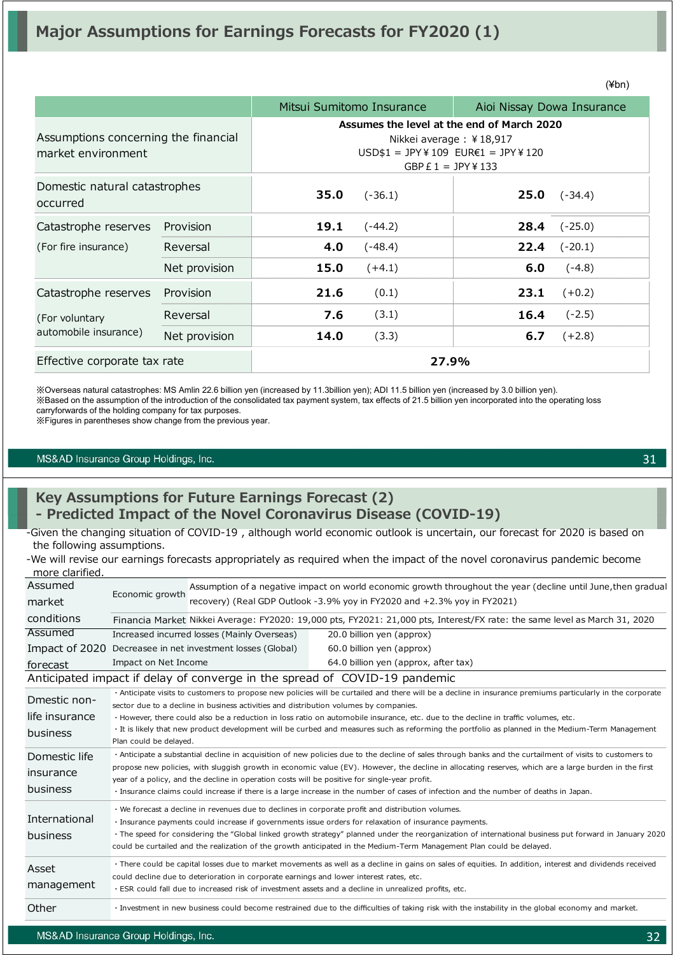|                                                            |               |                                                                                                                                       |                           |                            | $1 + 111$ |
|------------------------------------------------------------|---------------|---------------------------------------------------------------------------------------------------------------------------------------|---------------------------|----------------------------|-----------|
|                                                            |               |                                                                                                                                       | Mitsui Sumitomo Insurance | Aioi Nissay Dowa Insurance |           |
| Assumptions concerning the financial<br>market environment |               | Assumes the level at the end of March 2020<br>Nikkei average: ¥18,917<br>$USD$1 = JPY4109$ $EUR€1 = JPY4120$<br>GBP $E 1 = JPY$ ¥ 133 |                           |                            |           |
| Domestic natural catastrophes<br>occurred                  |               | 35.0                                                                                                                                  | $(-36.1)$                 | 25.0                       | $(-34.4)$ |
| Catastrophe reserves                                       | Provision     | 19.1                                                                                                                                  | $(-44.2)$                 | 28.4                       | $(-25.0)$ |
| (For fire insurance)                                       | Reversal      | 4.0                                                                                                                                   | $(-48.4)$                 | 22.4                       | $(-20.1)$ |
|                                                            | Net provision | 15.0                                                                                                                                  | $(+4.1)$                  | 6.0                        | $(-4.8)$  |
| Catastrophe reserves                                       | Provision     | 21.6                                                                                                                                  | (0.1)                     | 23.1                       | $(+0.2)$  |
| (For voluntary                                             | Reversal      | 7.6                                                                                                                                   | (3.1)                     | 16.4                       | $(-2.5)$  |
| automobile insurance)                                      | Net provision | 14.0                                                                                                                                  | (3.3)                     | 6.7                        | $(+2.8)$  |
| Effective corporate tax rate                               |               |                                                                                                                                       | 27.9%                     |                            |           |

※Overseas natural catastrophes: MS Amlin 22.6 billion yen (increased by 11.3billion yen); ADI 11.5 billion yen (increased by 3.0 billion yen). ※Based on the assumption of the introduction of the consolidated tax payment system, tax effects of 21.5 billion yen incorporated into the operating loss carryforwards of the holding company for tax purposes.

※Figures in parentheses show change from the previous year.

#### MS&AD Insurance Group Holdings, Inc.

### **Key Assumptions for Future Earnings Forecast (2) - Predicted Impact of the Novel Coronavirus Disease (COVID-19)**

-Given the changing situation of COVID-19 , although world economic outlook is uncertain, our forecast for 2020 is based on the following assumptions.

-We will revise our earnings forecasts appropriately as required when the impact of the novel coronavirus pandemic become more clarified.

| Assumed                                |                                                                                                                                                                                                                                                                                                                                                                                                                                                                                                                                                              | Assumption of a negative impact on world economic growth throughout the year (decline until June, then gradual |                                                                                                                                                            |  |
|----------------------------------------|--------------------------------------------------------------------------------------------------------------------------------------------------------------------------------------------------------------------------------------------------------------------------------------------------------------------------------------------------------------------------------------------------------------------------------------------------------------------------------------------------------------------------------------------------------------|----------------------------------------------------------------------------------------------------------------|------------------------------------------------------------------------------------------------------------------------------------------------------------|--|
| market                                 | Economic growth                                                                                                                                                                                                                                                                                                                                                                                                                                                                                                                                              |                                                                                                                | recovery) (Real GDP Outlook -3.9% yoy in FY2020 and +2.3% yoy in FY2021)                                                                                   |  |
| conditions                             |                                                                                                                                                                                                                                                                                                                                                                                                                                                                                                                                                              |                                                                                                                | Financia Market Nikkei Average: FY2020: 19,000 pts, FY2021: 21,000 pts, Interest/FX rate: the same level as March 31, 2020                                 |  |
| Assumed                                |                                                                                                                                                                                                                                                                                                                                                                                                                                                                                                                                                              | Increased incurred losses (Mainly Overseas)                                                                    | 20.0 billion yen (approx)                                                                                                                                  |  |
|                                        |                                                                                                                                                                                                                                                                                                                                                                                                                                                                                                                                                              | Impact of 2020 Decreasee in net investment losses (Global)                                                     | 60.0 billion yen (approx)                                                                                                                                  |  |
| forecast                               | Impact on Net Income                                                                                                                                                                                                                                                                                                                                                                                                                                                                                                                                         |                                                                                                                | 64.0 billion yen (approx, after tax)                                                                                                                       |  |
|                                        |                                                                                                                                                                                                                                                                                                                                                                                                                                                                                                                                                              |                                                                                                                | Anticipated impact if delay of converge in the spread of COVID-19 pandemic                                                                                 |  |
| Dmestic non-                           |                                                                                                                                                                                                                                                                                                                                                                                                                                                                                                                                                              | sector due to a decline in business activities and distribution volumes by companies.                          | · Anticipate visits to customers to propose new policies will be curtailed and there will be a decline in insurance premiums particularly in the corporate |  |
| life insurance                         |                                                                                                                                                                                                                                                                                                                                                                                                                                                                                                                                                              |                                                                                                                | · However, there could also be a reduction in loss ratio on automobile insurance, etc. due to the decline in traffic volumes, etc.                         |  |
| business                               | Plan could be delayed.                                                                                                                                                                                                                                                                                                                                                                                                                                                                                                                                       |                                                                                                                | . It is likely that new product development will be curbed and measures such as reforming the portfolio as planned in the Medium-Term Management           |  |
| Domestic life<br>insurance<br>business | · Anticipate a substantial decline in acquisition of new policies due to the decline of sales through banks and the curtailment of visits to customers to<br>propose new policies, with sluggish growth in economic value (EV). However, the decline in allocating reserves, which are a large burden in the first<br>year of a policy, and the decline in operation costs will be positive for single-year profit.<br>· Insurance claims could increase if there is a large increase in the number of cases of infection and the number of deaths in Japan. |                                                                                                                |                                                                                                                                                            |  |
| International<br>business              | · We forecast a decline in revenues due to declines in corporate profit and distribution volumes.<br>· Insurance payments could increase if governments issue orders for relaxation of insurance payments.<br>The speed for considering the "Global linked growth strategy" planned under the reorganization of international business put forward in January 2020<br>could be curtailed and the realization of the growth anticipated in the Medium-Term Management Plan could be delayed.                                                                  |                                                                                                                |                                                                                                                                                            |  |
| Asset<br>management                    | · There could be capital losses due to market movements as well as a decline in gains on sales of equities. In addition, interest and dividends received<br>could decline due to deterioration in corporate earnings and lower interest rates, etc.<br>. ESR could fall due to increased risk of investment assets and a decline in unrealized profits, etc.                                                                                                                                                                                                 |                                                                                                                |                                                                                                                                                            |  |
| Other                                  | · Investment in new business could become restrained due to the difficulties of taking risk with the instability in the global economy and market.                                                                                                                                                                                                                                                                                                                                                                                                           |                                                                                                                |                                                                                                                                                            |  |

 $(4h)$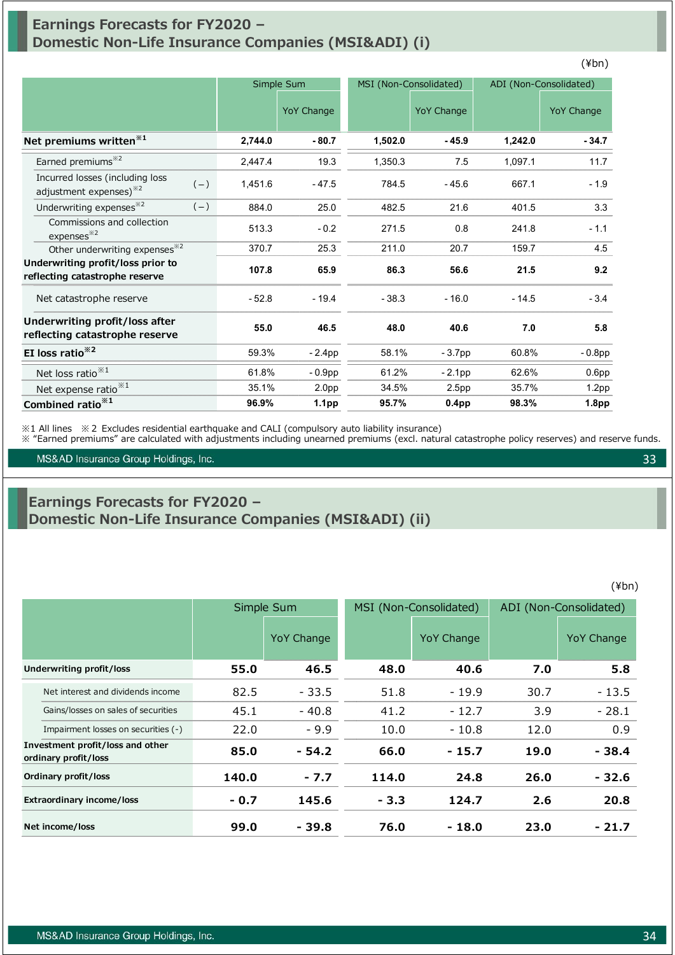### **Earnings Forecasts for FY2020 – Domestic Non-Life Insurance Companies (MSI&ADI) (i)**

|                                                                                |         | Simple Sum        |         | MSI (Non-Consolidated) |         | ADI (Non-Consolidated) |
|--------------------------------------------------------------------------------|---------|-------------------|---------|------------------------|---------|------------------------|
|                                                                                |         | YoY Change        |         | YoY Change             |         | <b>YoY Change</b>      |
| Net premiums written <sup>*1</sup>                                             | 2,744.0 | $-80.7$           | 1,502.0 | $-45.9$                | 1,242.0 | $-34.7$                |
| Earned premiums <sup>*2</sup>                                                  | 2.447.4 | 19.3              | 1,350.3 | 7.5                    | 1,097.1 | 11.7                   |
| Incurred losses (including loss<br>$(-)$<br>adjustment expenses) <sup>32</sup> | 1,451.6 | $-47.5$           | 784.5   | $-45.6$                | 667.1   | $-1.9$                 |
| Underwriting expenses <sup>*2</sup><br>$(-)$                                   | 884.0   | 25.0              | 482.5   | 21.6                   | 401.5   | 3.3                    |
| Commissions and collection<br>expenses <sup>32</sup>                           | 513.3   | $-0.2$            | 271.5   | 0.8                    | 241.8   | $-1.1$                 |
| Other underwriting expenses <sup>32</sup>                                      | 370.7   | 25.3              | 211.0   | 20.7                   | 159.7   | 4.5                    |
| Underwriting profit/loss prior to<br>reflecting catastrophe reserve            | 107.8   | 65.9              | 86.3    | 56.6                   | 21.5    | 9.2                    |
| Net catastrophe reserve                                                        | $-52.8$ | $-19.4$           | $-38.3$ | $-16.0$                | $-14.5$ | $-3.4$                 |
| Underwriting profit/loss after<br>reflecting catastrophe reserve               | 55.0    | 46.5              | 48.0    | 40.6                   | 7.0     | 5.8                    |
| EI loss ratio <sup>**</sup>                                                    | 59.3%   | $-2.4$ pp         | 58.1%   | $-3.7pp$               | 60.8%   | $-0.8$ pp              |
| Net loss ratio <sup>*1</sup>                                                   | 61.8%   | $-0.9pp$          | 61.2%   | $-2.1$ pp              | 62.6%   | 0.6 <sub>pp</sub>      |
| Net expense ratio <sup>**1</sup>                                               | 35.1%   | 2.0 <sub>pp</sub> | 34.5%   | 2.5 <sub>pp</sub>      | 35.7%   | 1.2 <sub>pp</sub>      |
| Combined ratio <sup>*1</sup>                                                   | 96.9%   | 1.1 <sub>pp</sub> | 95.7%   | 0.4 <sub>pp</sub>      | 98.3%   | 1.8 <sub>pp</sub>      |

※1 All lines ※2 Excludes residential earthquake and CALI (compulsory auto liability insurance)

※ "Earned premiums" are calculated with adjustments including unearned premiums (excl. natural catastrophe policy reserves) and reserve funds.

MS&AD Insurance Group Holdings, Inc.

### **Earnings Forecasts for FY2020 – Domestic Non-Life Insurance Companies (MSI&ADI) (ii)**

|                                                          |        | Simple Sum        | MSI (Non-Consolidated) |                   | ADI (Non-Consolidated) |                   |
|----------------------------------------------------------|--------|-------------------|------------------------|-------------------|------------------------|-------------------|
|                                                          |        | <b>YoY Change</b> |                        | <b>YoY Change</b> |                        | <b>YoY Change</b> |
| Underwriting profit/loss                                 | 55.0   | 46.5              | 48.0                   | 40.6              | 7.0                    | 5.8               |
| Net interest and dividends income                        | 82.5   | $-33.5$           | 51.8                   | $-19.9$           | 30.7                   | $-13.5$           |
| Gains/losses on sales of securities                      | 45.1   | $-40.8$           | 41.2                   | $-12.7$           | 3.9                    | $-28.1$           |
| Impairment losses on securities (-)                      | 22.0   | $-9.9$            | 10.0                   | $-10.8$           | 12.0                   | 0.9               |
| Investment profit/loss and other<br>ordinary profit/loss | 85.0   | - 54.2            | 66.0                   | - 15.7            | 19.0                   | $-38.4$           |
| Ordinary profit/loss                                     | 140.0  | $-7.7$            | 114.0                  | 24.8              | 26.0                   | $-32.6$           |
| <b>Extraordinary income/loss</b>                         | $-0.7$ | 145.6             | $-3.3$                 | 124.7             | 2.6                    | 20.8              |
| Net income/loss                                          | 99.0   | - 39.8            | 76.0                   | - 18.0            | 23.0                   | - 21.7            |

(¥bn)

33

(¥bn)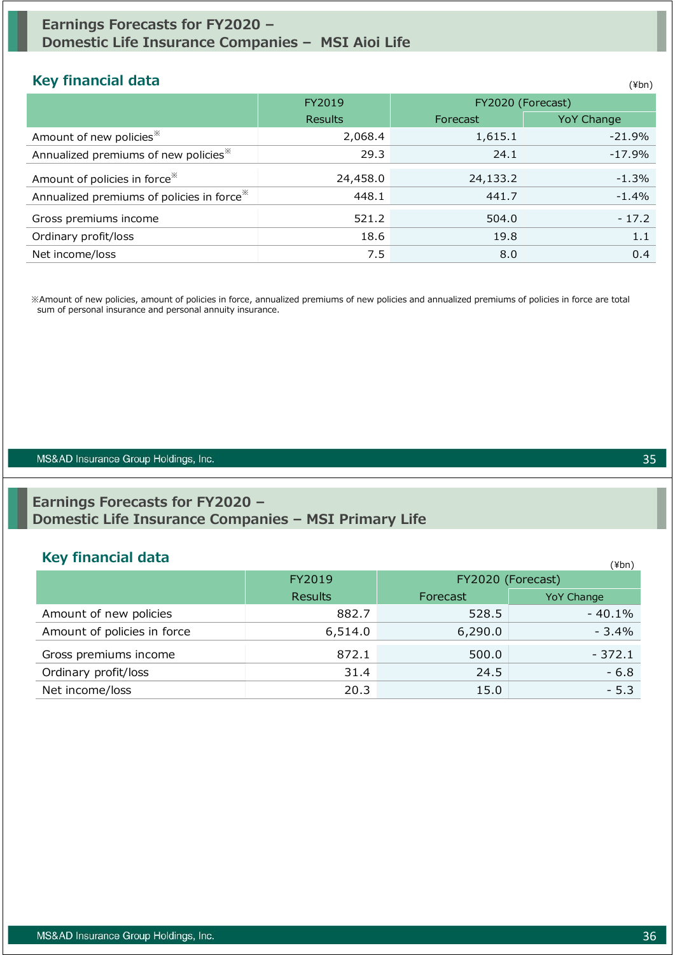### **Earnings Forecasts for FY2020 – Domestic Life Insurance Companies – MSI Aioi Life**

### **Key financial data**

| <b>Key financial data</b><br>(¥bn)                    |                |          |                   |  |  |  |
|-------------------------------------------------------|----------------|----------|-------------------|--|--|--|
|                                                       | FY2019         |          | FY2020 (Forecast) |  |  |  |
|                                                       | <b>Results</b> | Forecast | YoY Change        |  |  |  |
| Amount of new policies <sup>**</sup>                  | 2,068.4        | 1,615.1  | $-21.9%$          |  |  |  |
| Annualized premiums of new policies <sup>36</sup>     | 29.3           | 24.1     | $-17.9%$          |  |  |  |
| Amount of policies in force <sup>**</sup>             | 24,458.0       | 24,133.2 | $-1.3%$           |  |  |  |
| Annualized premiums of policies in force <sup>*</sup> | 448.1          | 441.7    | $-1.4%$           |  |  |  |
| Gross premiums income                                 | 521.2          | 504.0    | $-17.2$           |  |  |  |
| Ordinary profit/loss                                  | 18.6           | 19.8     | 1.1               |  |  |  |
| Net income/loss                                       | 7.5            | 8.0      | 0.4               |  |  |  |

※Amount of new policies, amount of policies in force, annualized premiums of new policies and annualized premiums of policies in force are total sum of personal insurance and personal annuity insurance.

#### MS&AD Insurance Group Holdings, Inc.

### **Earnings Forecasts for FY2020 – Domestic Life Insurance Companies – MSI Primary Life**

# **Key financial data** (\*)

|                             | FY2019         |          | . <i>.</i><br>FY2020 (Forecast) |
|-----------------------------|----------------|----------|---------------------------------|
|                             | <b>Results</b> | Forecast | <b>YoY Change</b>               |
| Amount of new policies      | 882.7          | 528.5    | $-40.1%$                        |
| Amount of policies in force | 6,514.0        | 6,290.0  | $-3.4%$                         |
| Gross premiums income       | 872.1          | 500.0    | $-372.1$                        |
| Ordinary profit/loss        | 31.4           | 24.5     | $-6.8$                          |
| Net income/loss             | 20.3           | 15.0     | $-5.3$                          |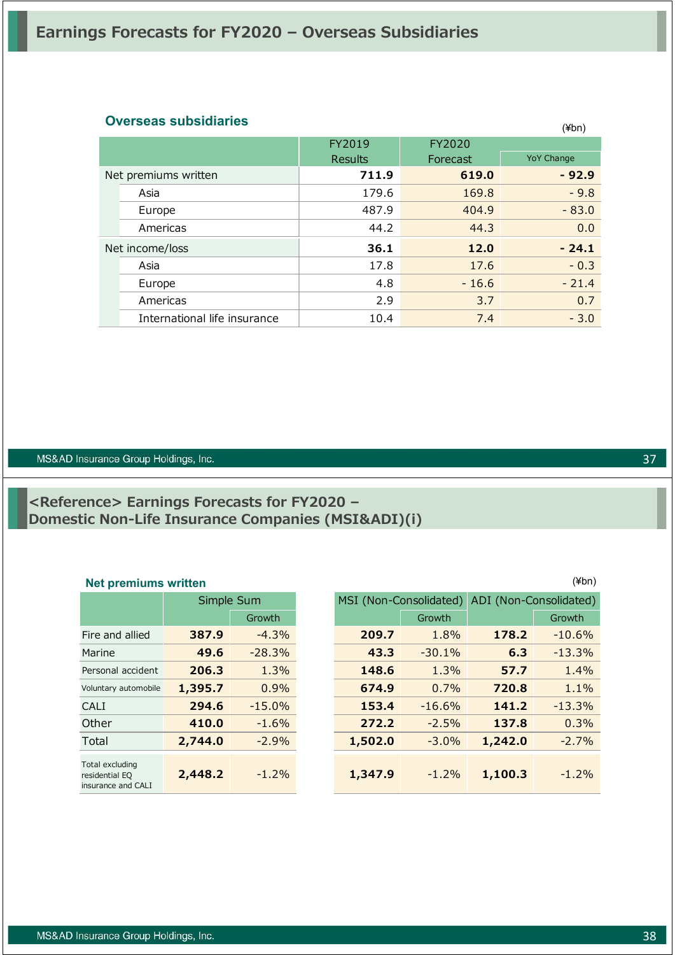## **Overseas subsidiaries** (¥bn)

|  |                              |                |          | $1 + 111$         |
|--|------------------------------|----------------|----------|-------------------|
|  |                              | FY2019         | FY2020   |                   |
|  |                              | <b>Results</b> | Forecast | <b>YoY Change</b> |
|  | Net premiums written         | 711.9          | 619.0    | $-92.9$           |
|  | Asia                         | 179.6          | 169.8    | $-9.8$            |
|  | Europe                       | 487.9          | 404.9    | $-83.0$           |
|  | Americas                     | 44.2           | 44.3     | 0.0               |
|  | Net income/loss              | 36.1           | 12.0     | $-24.1$           |
|  | Asia                         | 17.8           | 17.6     | $-0.3$            |
|  | Europe                       | 4.8            | $-16.6$  | $-21.4$           |
|  | Americas                     | 2.9            | 3.7      | 0.7               |
|  | International life insurance | 10.4           | 7.4      | $-3.0$            |

#### MS&AD Insurance Group Holdings, Inc.

### **<Reference> Earnings Forecasts for FY2020 – Domestic Non-Life Insurance Companies (MSI&ADI)(i)**

|                                                         | Simple Sum |          |  |
|---------------------------------------------------------|------------|----------|--|
|                                                         |            | Growth   |  |
| Fire and allied                                         | 387.9      | $-4.3%$  |  |
| Marine                                                  | 49.6       | $-28.3%$ |  |
| Personal accident                                       | 206.3      | 1.3%     |  |
| Voluntary automobile                                    | 1,395.7    | 0.9%     |  |
| CALI                                                    | 294.6      | $-15.0%$ |  |
| Other                                                   | 410.0      | $-1.6%$  |  |
| Total                                                   | 2,744.0    | $-2.9\%$ |  |
| Total excluding<br>residential EQ<br>insurance and CALI | 2,448.2    | $-1.2%$  |  |

| $(\n  4bn)$<br><b>Net premiums written</b>              |            |          |  |                        |          |                        |          |
|---------------------------------------------------------|------------|----------|--|------------------------|----------|------------------------|----------|
|                                                         | Simple Sum |          |  | MSI (Non-Consolidated) |          | ADI (Non-Consolidated) |          |
|                                                         |            | Growth   |  |                        | Growth   |                        | Growth   |
| Fire and allied                                         | 387.9      | $-4.3%$  |  | 209.7                  | 1.8%     | 178.2                  | $-10.6%$ |
| Marine                                                  | 49.6       | $-28.3%$ |  | 43.3                   | $-30.1%$ | 6.3                    | $-13.3%$ |
| Personal accident                                       | 206.3      | 1.3%     |  | 148.6                  | 1.3%     | 57.7                   | 1.4%     |
| Voluntary automobile                                    | 1,395.7    | 0.9%     |  | 674.9                  | 0.7%     | 720.8                  | 1.1%     |
| <b>CALI</b>                                             | 294.6      | $-15.0%$ |  | 153.4                  | $-16.6%$ | 141.2                  | $-13.3%$ |
| Other                                                   | 410.0      | $-1.6%$  |  | 272.2                  | $-2.5%$  | 137.8                  | 0.3%     |
| Total                                                   | 2,744.0    | $-2.9%$  |  | 1,502.0                | $-3.0\%$ | 1,242.0                | $-2.7%$  |
| Total excluding<br>residential EQ<br>insurance and CALI | 2,448.2    | $-1.2%$  |  | 1,347.9                | $-1.2%$  | 1,100.3                | $-1.2%$  |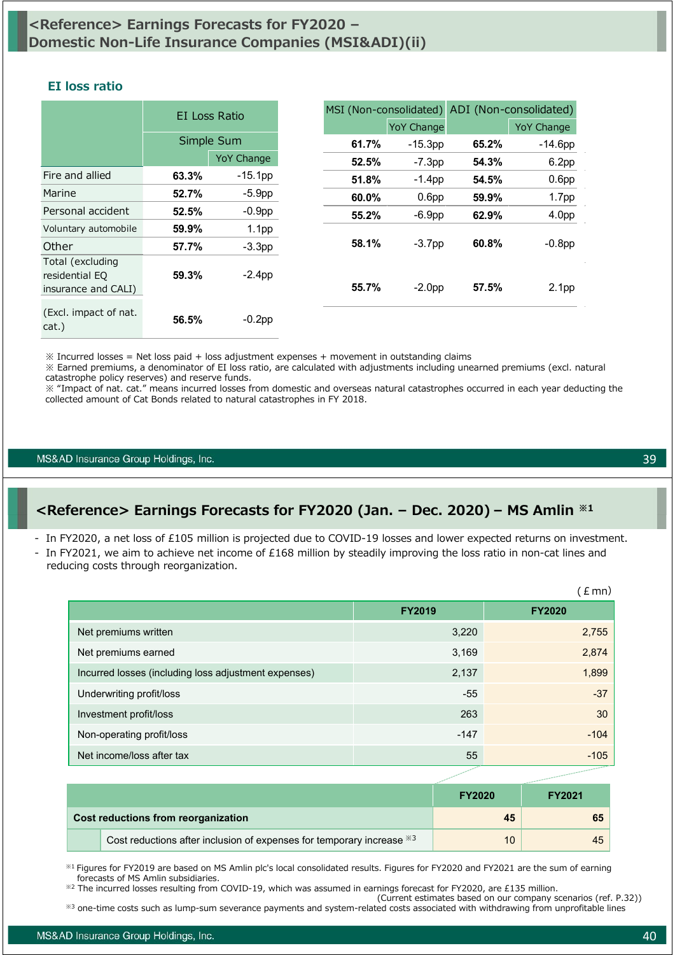### **<Reference> Earnings Forecasts for FY2020 – Domestic Non-Life Insurance Companies (MSI&ADI)(ii)**

#### **EI loss ratio**

|                                                           |            | EI Loss Ratio     | MSI (Non-consolidated) |                   | ADI (Non-consolidated) |
|-----------------------------------------------------------|------------|-------------------|------------------------|-------------------|------------------------|
|                                                           |            |                   |                        | <b>YoY Change</b> |                        |
|                                                           | Simple Sum |                   | 61.7%                  | $-15.3pp$         | 65.2%                  |
|                                                           |            | <b>YoY Change</b> | 52.5%                  | $-7.3pp$          | 54.3%                  |
| Fire and allied                                           | 63.3%      | $-15.1$ pp        | 51.8%                  | $-1.4$ pp         | 54.5%                  |
| Marine                                                    | 52.7%      | $-5.9pp$          | 60.0%                  | 0.6 <sub>pp</sub> | 59.9%                  |
| Personal accident                                         | 52.5%      | $-0.9pp$          | 55.2%                  | $-6.9pp$          | 62.9%                  |
| Voluntary automobile                                      | 59.9%      | 1.1 <sub>pp</sub> |                        |                   |                        |
| Other                                                     | 57.7%      | $-3.3pp$          | 58.1%                  | $-3.7pp$          | 60.8%                  |
| Total (excluding<br>residential EQ<br>insurance and CALI) | 59.3%      | $-2.4pp$          | 55.7%                  | $-2.0pp$          | 57.5%                  |
| (Excl. impact of nat.<br>cat.)                            | 56.5%      | $-0.2$ pp         |                        |                   |                        |

 $\%$  Incurred losses = Net loss paid + loss adjustment expenses + movement in outstanding claims

※ Earned premiums, a denominator of EI loss ratio, are calculated with adjustments including unearned premiums (excl. natural catastrophe policy reserves) and reserve funds.

※ "Impact of nat. cat." means incurred losses from domestic and overseas natural catastrophes occurred in each year deducting the collected amount of Cat Bonds related to natural catastrophes in FY 2018.

MS&AD Insurance Group Holdings, Inc.

## **<Reference> Earnings Forecasts for FY2020 (Jan. – Dec. 2020) – MS Amlin ※1**

#### - In FY2020, a net loss of £105 million is projected due to COVID-19 losses and lower expected returns on investment.

- In FY2021, we aim to achieve net income of £168 million by steadily improving the loss ratio in non-cat lines and reducing costs through reorganization.

|                                                      |               | (£mn)         |
|------------------------------------------------------|---------------|---------------|
|                                                      | <b>FY2019</b> | <b>FY2020</b> |
| Net premiums written                                 | 3,220         | 2,755         |
| Net premiums earned                                  | 3,169         | 2,874         |
| Incurred losses (including loss adjustment expenses) | 2,137         | 1,899         |
| Underwriting profit/loss                             | $-55$         | $-37$         |
| Investment profit/loss                               | 263           | 30            |
| Non-operating profit/loss                            | $-147$        | $-104$        |
| Net income/loss after tax                            | 55            | $-105$        |

|                                                                         | <b>FY2020</b> | <b>FY2021</b> |
|-------------------------------------------------------------------------|---------------|---------------|
| Cost reductions from reorganization                                     | 45            |               |
| Cost reductions after inclusion of expenses for temporary increase $*3$ | 10            | 45            |

※1 Figures for FY2019 are based on MS Amlin plc's local consolidated results. Figures for FY2020 and FY2021 are the sum of earning forecasts of MS Amlin subsidiaries.

※2 The incurred losses resulting from COVID-19, which was assumed in earnings forecast for FY2020, are £135 million.

(Current estimates based on our company scenarios (ref. P.32)) ※3 one-time costs such as lump-sum severance payments and system-related costs associated with withdrawing from unprofitable lines